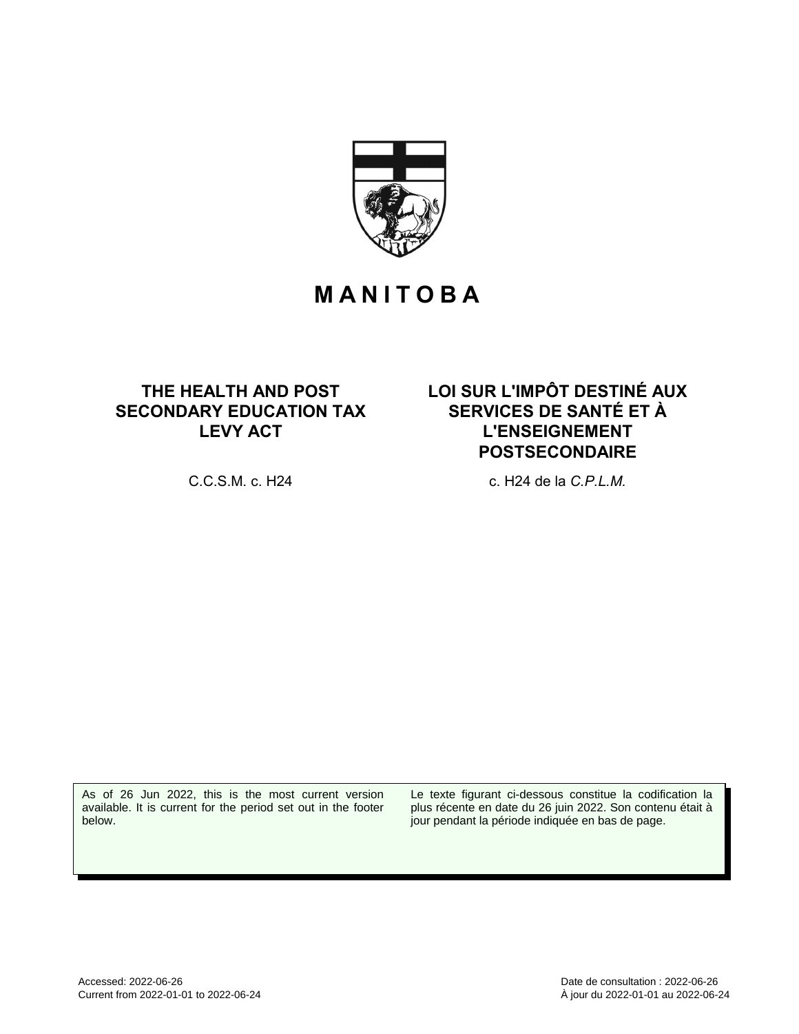

# **M A N I T O B A**

# **THE HEALTH AND POST SECONDARY EDUCATION TAX LEVY ACT**

**LOI SUR L'IMPÔT DESTINÉ AUX SERVICES DE SANTÉ ET À L'ENSEIGNEMENT POSTSECONDAIRE**

C.C.S.M. c. H24 c. H24 de la *C.P.L.M.*

As of 26 Jun 2022, this is the most current version available. It is current for the period set out in the footer below.

Le texte figurant ci-dessous constitue la codification la plus récente en date du 26 juin 2022. Son contenu était à jour pendant la période indiquée en bas de page.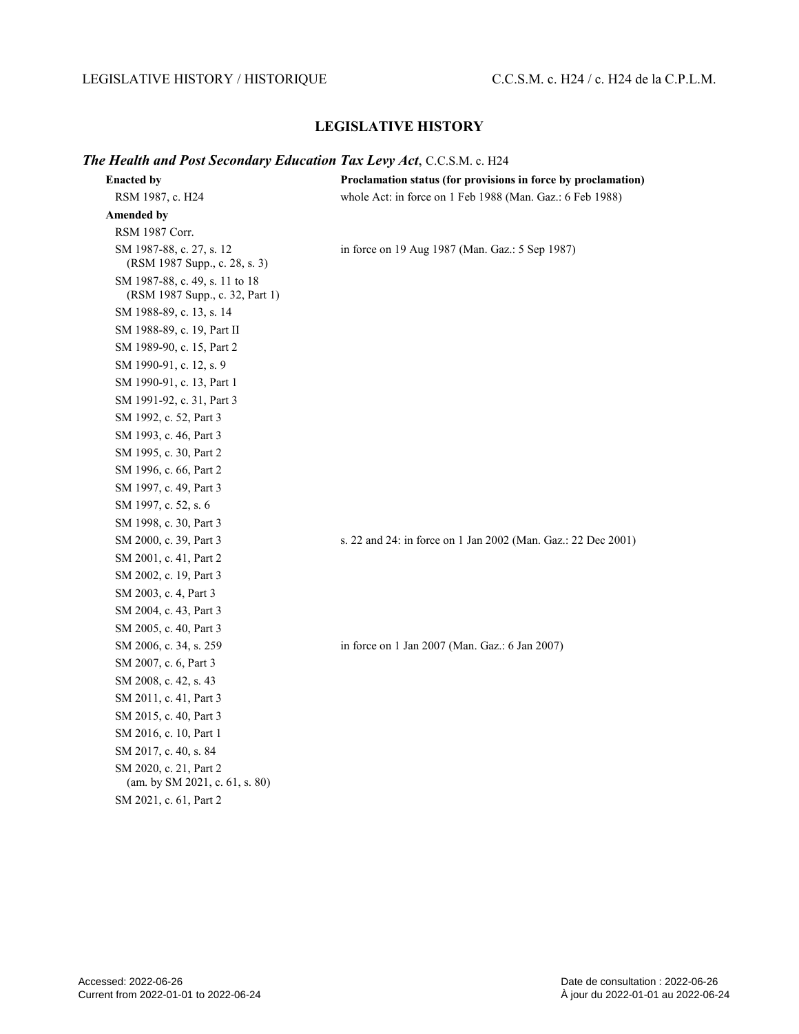#### LEGISLATIVE HISTORY / HISTORIQUE C.C.S.M. c. H24 / c. H24 de la C.P.L.M.

#### **LEGISLATIVE HISTORY**

#### *The Health and Post Secondary Education Tax Levy Act*, C.C.S.M. c. H24

| <b>Enacted by</b>                                                 | Proclamation status (for provisions in force by proclamation) |
|-------------------------------------------------------------------|---------------------------------------------------------------|
| RSM 1987, c. H24                                                  | whole Act: in force on 1 Feb 1988 (Man. Gaz.: 6 Feb 1988)     |
| <b>Amended by</b>                                                 |                                                               |
| RSM 1987 Corr.                                                    |                                                               |
| SM 1987-88, c. 27, s. 12<br>(RSM 1987 Supp., c. 28, s. 3)         | in force on 19 Aug 1987 (Man. Gaz.: 5 Sep 1987)               |
| SM 1987-88, c. 49, s. 11 to 18<br>(RSM 1987 Supp., c. 32, Part 1) |                                                               |
| SM 1988-89, c. 13, s. 14                                          |                                                               |
| SM 1988-89, c. 19, Part II                                        |                                                               |
| SM 1989-90, c. 15, Part 2                                         |                                                               |
| SM 1990-91, c. 12, s. 9                                           |                                                               |
| SM 1990-91, c. 13, Part 1                                         |                                                               |
| SM 1991-92, c. 31, Part 3                                         |                                                               |
| SM 1992, c. 52, Part 3                                            |                                                               |
| SM 1993, c. 46, Part 3                                            |                                                               |
| SM 1995, c. 30, Part 2                                            |                                                               |
| SM 1996, c. 66, Part 2                                            |                                                               |
| SM 1997, c. 49, Part 3                                            |                                                               |
| SM 1997, c. 52, s. 6                                              |                                                               |
| SM 1998, c. 30, Part 3                                            |                                                               |
| SM 2000, c. 39, Part 3                                            | s. 22 and 24: in force on 1 Jan 2002 (Man. Gaz.: 22 Dec 2001) |
| SM 2001, c. 41, Part 2                                            |                                                               |
| SM 2002, c. 19, Part 3                                            |                                                               |
| SM 2003, c. 4, Part 3                                             |                                                               |
| SM 2004, c. 43, Part 3                                            |                                                               |
| SM 2005, c. 40, Part 3                                            |                                                               |
| SM 2006, c. 34, s. 259                                            | in force on 1 Jan 2007 (Man. Gaz.: 6 Jan 2007)                |
| SM 2007, c. 6, Part 3                                             |                                                               |
| SM 2008, c. 42, s. 43                                             |                                                               |
| SM 2011, c. 41, Part 3                                            |                                                               |
| SM 2015, c. 40, Part 3                                            |                                                               |
| SM 2016, c. 10, Part 1                                            |                                                               |
| SM 2017, c. 40, s. 84                                             |                                                               |
| SM 2020, c. 21, Part 2<br>(am. by SM 2021, c. 61, s. 80)          |                                                               |
| SM 2021, c. 61, Part 2                                            |                                                               |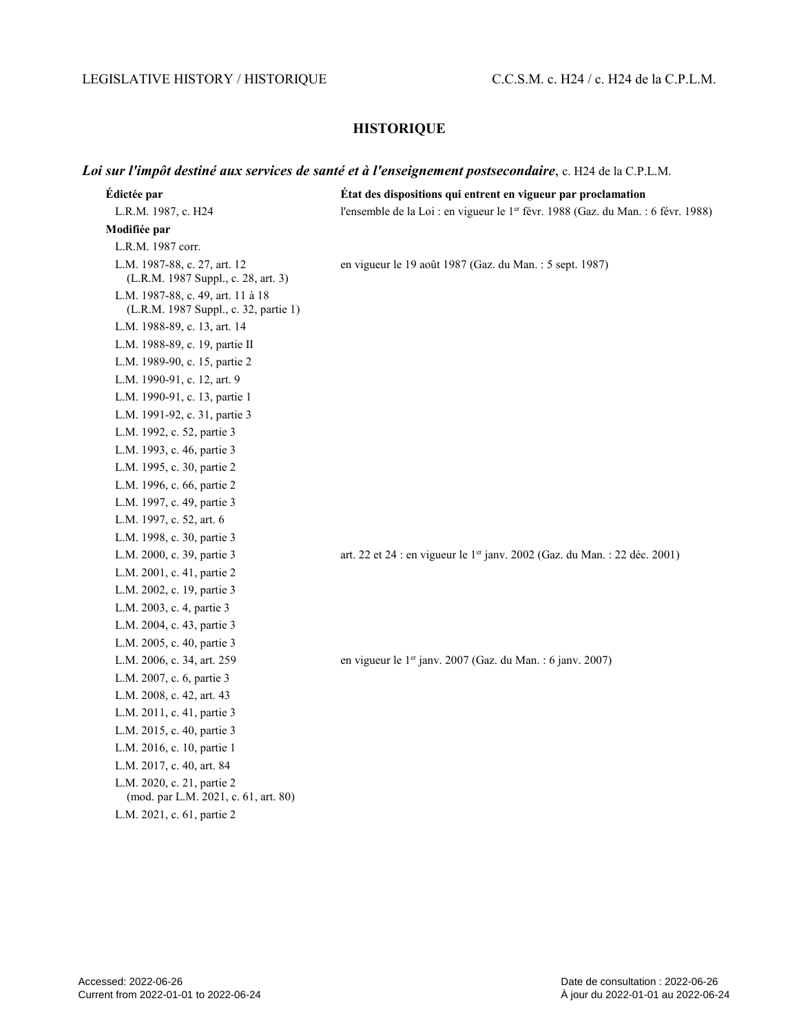# LEGISLATIVE HISTORY / HISTORIQUE C.C.S.M. c. H24 / c. H24 de la C.P.L.M.

## **HISTORIQUE**

# *Loi sur l'impôt destiné aux services de santé et à l'enseignement postsecondaire*, c. H24 de la C.P.L.M.

| Édictée par                                                                | État des dispositions qui entrent en vigueur par proclamation                          |
|----------------------------------------------------------------------------|----------------------------------------------------------------------------------------|
| L.R.M. 1987, c. H24                                                        | l'ensemble de la Loi : en vigueur le 1er févr. 1988 (Gaz. du Man. : 6 févr. 1988)      |
| Modifiée par                                                               |                                                                                        |
| L.R.M. 1987 corr.                                                          |                                                                                        |
| L.M. 1987-88, c. 27, art. 12<br>(L.R.M. 1987 Suppl., c. 28, art. 3)        | en vigueur le 19 août 1987 (Gaz. du Man. : 5 sept. 1987)                               |
| L.M. 1987-88, c. 49, art. 11 à 18<br>(L.R.M. 1987 Suppl., c. 32, partie 1) |                                                                                        |
| L.M. 1988-89, c. 13, art. 14                                               |                                                                                        |
| L.M. 1988-89, c. 19, partie II                                             |                                                                                        |
| L.M. 1989-90, c. 15, partie 2                                              |                                                                                        |
| L.M. 1990-91, c. 12, art. 9                                                |                                                                                        |
| L.M. 1990-91, c. 13, partie 1                                              |                                                                                        |
| L.M. 1991-92, c. 31, partie 3                                              |                                                                                        |
| L.M. 1992, c. 52, partie 3                                                 |                                                                                        |
| L.M. 1993, c. 46, partie 3                                                 |                                                                                        |
| L.M. 1995, c. 30, partie 2                                                 |                                                                                        |
| L.M. 1996, c. 66, partie 2                                                 |                                                                                        |
| L.M. 1997, c. 49, partie 3                                                 |                                                                                        |
| L.M. 1997, c. 52, art. 6                                                   |                                                                                        |
| L.M. 1998, c. 30, partie 3                                                 |                                                                                        |
| L.M. 2000, c. 39, partie 3                                                 | art. 22 et 24 : en vigueur le 1 <sup>er</sup> janv. 2002 (Gaz. du Man. : 22 déc. 2001) |
| L.M. 2001, c. 41, partie 2                                                 |                                                                                        |
| L.M. 2002, c. 19, partie 3                                                 |                                                                                        |
| L.M. 2003, c. 4, partie 3                                                  |                                                                                        |
| L.M. 2004, c. 43, partie 3                                                 |                                                                                        |
| L.M. 2005, c. 40, partie 3                                                 |                                                                                        |
| L.M. 2006, c. 34, art. 259                                                 | en vigueur le 1er janv. 2007 (Gaz. du Man. : 6 janv. 2007)                             |
| L.M. 2007, c. 6, partie 3                                                  |                                                                                        |
| L.M. 2008, c. 42, art. 43                                                  |                                                                                        |
| L.M. 2011, c. 41, partie 3                                                 |                                                                                        |
| L.M. 2015, c. 40, partie 3                                                 |                                                                                        |
| L.M. 2016, c. 10, partie 1                                                 |                                                                                        |
| L.M. 2017, c. 40, art. 84                                                  |                                                                                        |
| L.M. 2020, c. 21, partie 2<br>(mod. par L.M. 2021, c. 61, art. 80)         |                                                                                        |
| L.M. 2021, c. 61, partie 2                                                 |                                                                                        |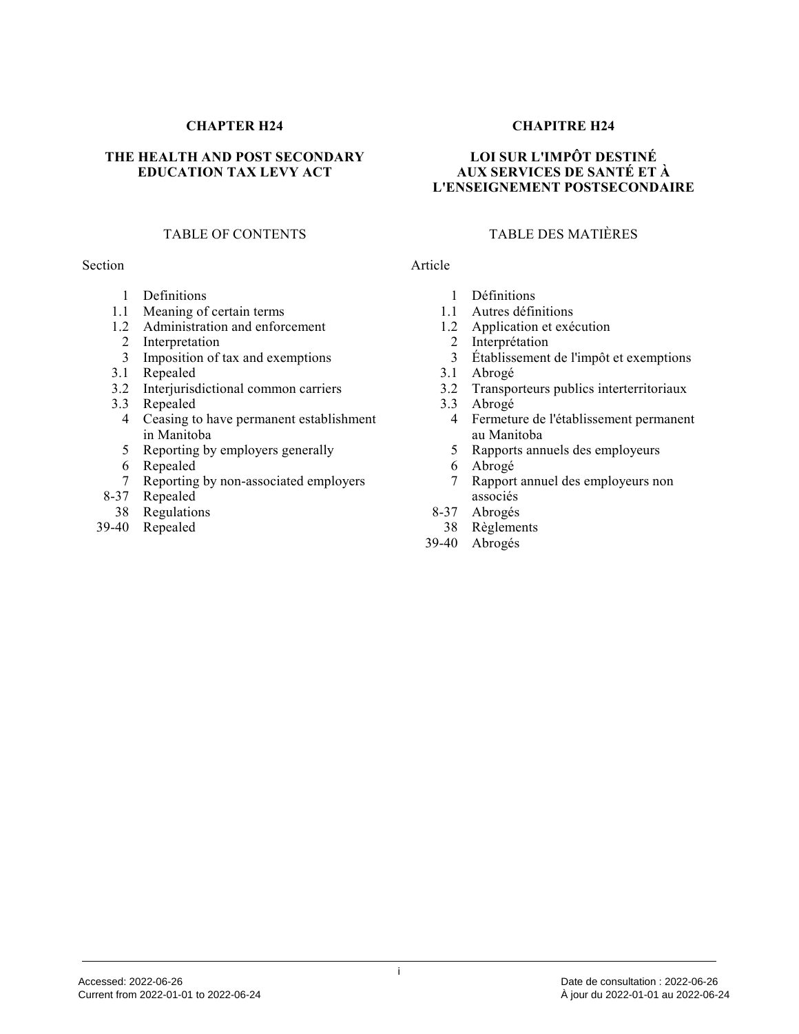#### **CHAPTER H24**

#### **THE HEALTH AND POST SECONDARY EDUCATION TAX LEVY ACT**

#### TABLE OF CONTENTS

#### Section

- 1 Definitions
- 1.1 Meaning of certain terms
- 1.2 Administration and enforcement
- 2 Interpretation
- 3 Imposition of tax and exemptions
- 3.1 Repealed
- 3.2 Interjurisdictional common carriers
- 3.3 Repealed
- 4 Ceasing to have permanent establishment in Manitoba
- 5 Reporting by employers generally
- 6 Repealed
- 7 Reporting by non-associated employers
- 8-37 Repealed
- 38 Regulations
- 39-40 Repealed

#### **CHAPITRE H24**

#### **LOI SUR L'IMPÔT DESTINÉ AUX SERVICES DE SANTÉ ET À L'ENSEIGNEMENT POSTSECONDAIRE**

#### TABLE DES MATIÈRES

#### Article

- 1 Définitions
- 1.1 Autres définitions
- 1.2 Application et exécution
- 2 Interprétation
- 3 Établissement de l'impôt et exemptions<br>3.1 Abrogé
- Abrogé
- 3.2 Transporteurs publics interterritoriaux
- 3.3 Abrogé
	- 4 Fermeture de l'établissement permanent au Manitoba
	- 5 Rapports annuels des employeurs
- 6 Abrogé
- 7 Rapport annuel des employeurs non associés
- 8-37 Abrogés
- 38 Règlements
- 39-40 Abrogés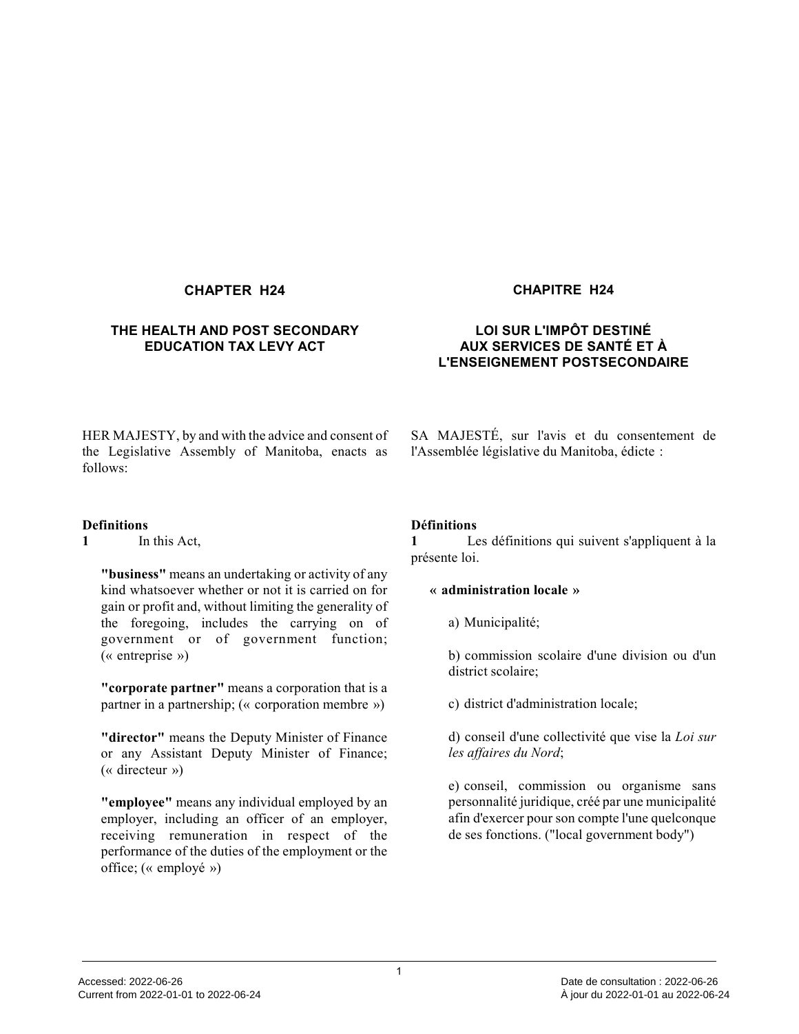#### **CHAPTER H24 CHAPITRE H24**

#### **THE HEALTH AND POST SECONDARY EDUCATION TAX LEVY ACT**

#### **LOI SUR L'IMPÔT DESTINÉ AUX SERVICES DE SANTÉ ET À L'ENSEIGNEMENT POSTSECONDAIRE**

HER MAJESTY, by and with the advice and consent of the Legislative Assembly of Manitoba, enacts as follows:

#### **Definitions**

**1** In this Act,

**"business"** means an undertaking or activity of any kind whatsoever whether or not it is carried on for gain or profit and, without limiting the generality of the foregoing, includes the carrying on of government or of government function; (« entreprise »)

**"corporate partner"** means a corporation that is a partner in a partnership; (« corporation membre »)

**"director"** means the Deputy Minister of Finance or any Assistant Deputy Minister of Finance; (« directeur »)

**"employee"** means any individual employed by an employer, including an officer of an employer, receiving remuneration in respect of the performance of the duties of the employment or the office; (« employé »)

SA MAJESTÉ, sur l'avis et du consentement de l'Assemblée législative du Manitoba, édicte :

#### **Définitions**

**1** Les définitions qui suivent s'appliquent à la présente loi.

#### **« administration locale »**

a) Municipalité;

b) commission scolaire d'une division ou d'un district scolaire;

c) district d'administration locale;

d) conseil d'une collectivité que vise la *Loi sur les affaires du Nord* ;

e) conseil, commission ou organisme sans personnalité juridique, créé par une municipalité afin d'exercer pour son compte l'une quelconque de ses fonctions. ("local government body")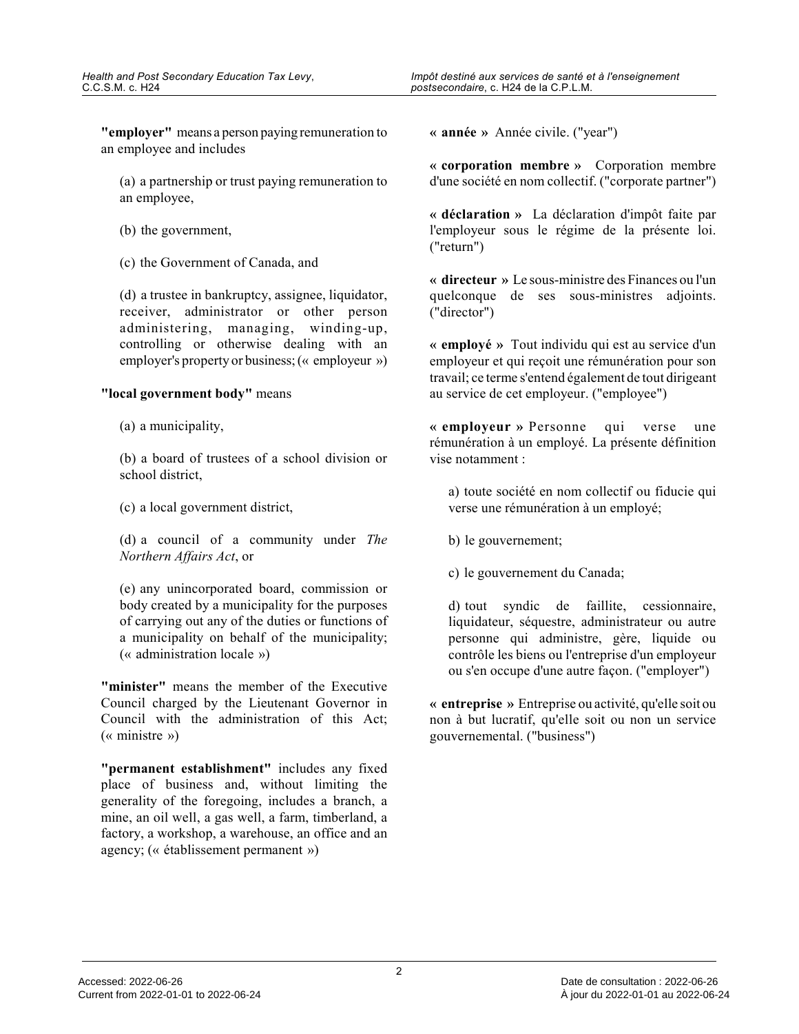**"employer"** means a person paying remuneration to an employee and includes

(a) a partnership or trust paying remuneration to an employee,

- (b) the government,
- (c) the Government of Canada, and

(d) a trustee in bankruptcy, assignee, liquidator, receiver, administrator or other person administering, managing, winding-up, controlling or otherwise dealing with an employer's property or business; (« employeur »)

#### **"local government body"** means

(a) a municipality,

(b) a board of trustees of a school division or school district,

(c) a local government district,

(d) a council of a community under *The Northern Affairs Act*, or

(e) any unincorporated board, commission or body created by a municipality for the purposes of carrying out any of the duties or functions of a municipality on behalf of the municipality; (« administration locale »)

**"minister"** means the member of the Executive Council charged by the Lieutenant Governor in Council with the administration of this Act; (« ministre »)

**"permanent establishment"** includes any fixed place of business and, without limiting the generality of the foregoing, includes a branch, a mine, an oil well, a gas well, a farm, timberland, a factory, a workshop, a warehouse, an office and an agency; (« établissement permanent »)

**« année »** Année civile. ("year")

**« corporation membre »** Corporation membre d'une société en nom collectif. ("corporate partner")

**« déclaration »** La déclaration d'impôt faite par l'employeur sous le régime de la présente loi. ("return")

**« directeur »** Le sous-ministre des Finances ou l'un quelconque de ses sous-ministres adjoints. ("director")

**« employé »** Tout individu qui est au service d'un employeur et qui reçoit une rémunération pour son travail; ce terme s'entend également de tout dirigeant au service de cet employeur. ("employee")

**« employeur »** Personne qui verse une rémunération à un employé. La présente définition vise notamment :

a) toute société en nom collectif ou fiducie qui verse une rémunération à un employé;

- b) le gouvernement;
- c) le gouvernement du Canada;

d) tout syndic de faillite, cessionnaire, liquidateur, séquestre, administrateur ou autre personne qui administre, gère, liquide ou contrôle les biens ou l'entreprise d'un employeur ou s'en occupe d'une autre façon. ("employer")

**« entreprise »** Entreprise ou activité, qu'elle soit ou non à but lucratif, qu'elle soit ou non un service gouvernemental. ("business")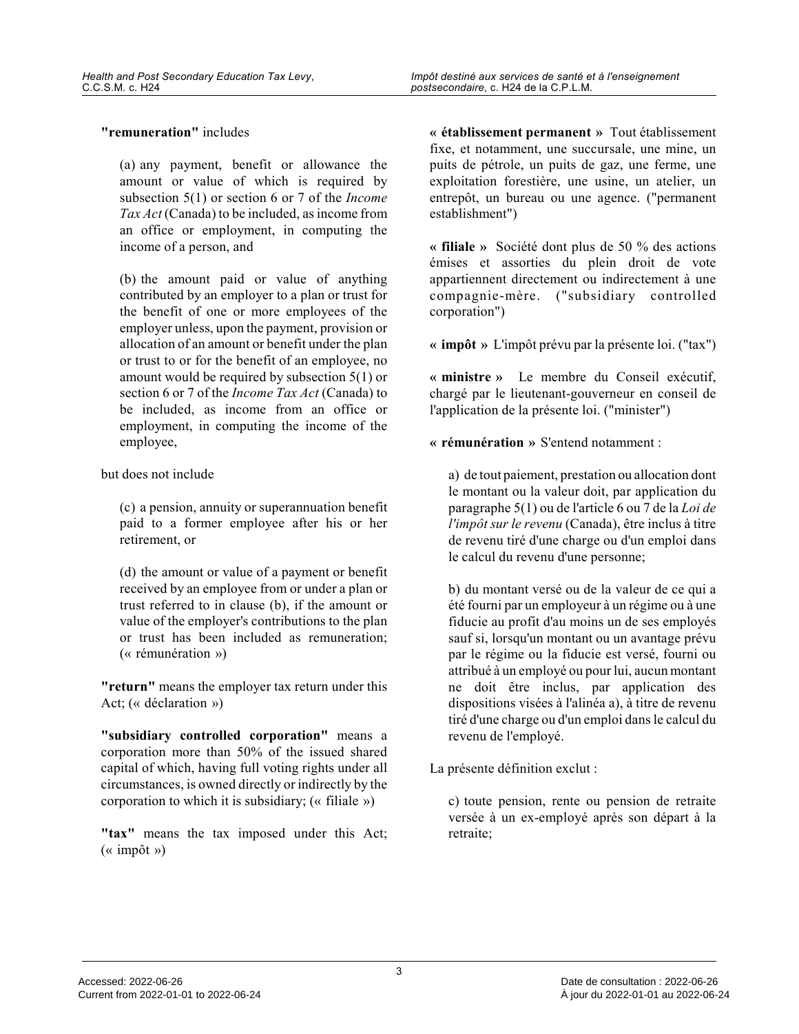#### **"remuneration"** includes

(a) any payment, benefit or allowance the amount or value of which is required by subsection 5(1) or section 6 or 7 of the *Income Tax Act* (Canada) to be included, as income from an office or employment, in computing the income of a person, and

(b) the amount paid or value of anything contributed by an employer to a plan or trust for the benefit of one or more employees of the employer unless, upon the payment, provision or allocation of an amount or benefit under the plan or trust to or for the benefit of an employee, no amount would be required by subsection 5(1) or section 6 or 7 of the *Income Tax Act* (Canada) to be included, as income from an office or employment, in computing the income of the employee,

but does not include

(c) a pension, annuity or superannuation benefit paid to a former employee after his or her retirement, or

(d) the amount or value of a payment or benefit received by an employee from or under a plan or trust referred to in clause (b), if the amount or value of the employer's contributions to the plan or trust has been included as remuneration; (« rémunération »)

**"return"** means the employer tax return under this Act; (« déclaration »)

**"subsidiary controlled corporation"** means a corporation more than 50% of the issued shared capital of which, having full voting rights under all circumstances, is owned directly or indirectly by the corporation to which it is subsidiary; (« filiale »)

**"tax"** means the tax imposed under this Act; (« impôt »)

**« établissement permanent »** Tout établissement fixe, et notamment, une succursale, une mine, un puits de pétrole, un puits de gaz, une ferme, une exploitation forestière, une usine, un atelier, un entrepôt, un bureau ou une agence. ("permanent establishment")

**« filiale »** Société dont plus de 50 % des actions émises et assorties du plein droit de vote appartiennent directement ou indirectement à une compagnie-mère. ("subsidiary controlled corporation")

**« impôt »** L'impôt prévu par la présente loi. ("tax")

**« ministre »** Le membre du Conseil exécutif, chargé par le lieutenant-gouverneur en conseil de l'application de la présente loi. ("minister")

**« rémunération »** S'entend notamment :

a) de tout paiement, prestation ou allocation dont le montant ou la valeur doit, par application du paragraphe 5(1) ou de l'article 6 ou 7 de la *Loi de l'impôt sur le revenu* (Canada), être inclus à titre de revenu tiré d'une charge ou d'un emploi dans le calcul du revenu d'une personne;

b) du montant versé ou de la valeur de ce qui a été fourni par un employeur à un régime ou à une fiducie au profit d'au moins un de ses employés sauf si, lorsqu'un montant ou un avantage prévu par le régime ou la fiducie est versé, fourni ou attribué à un employé ou pour lui, aucun montant ne doit être inclus, par application des dispositions visées à l'alinéa a), à titre de revenu tiré d'une charge ou d'un emploi dans le calcul du revenu de l'employé.

La présente définition exclut :

c) toute pension, rente ou pension de retraite versée à un ex-employé après son départ à la retraite;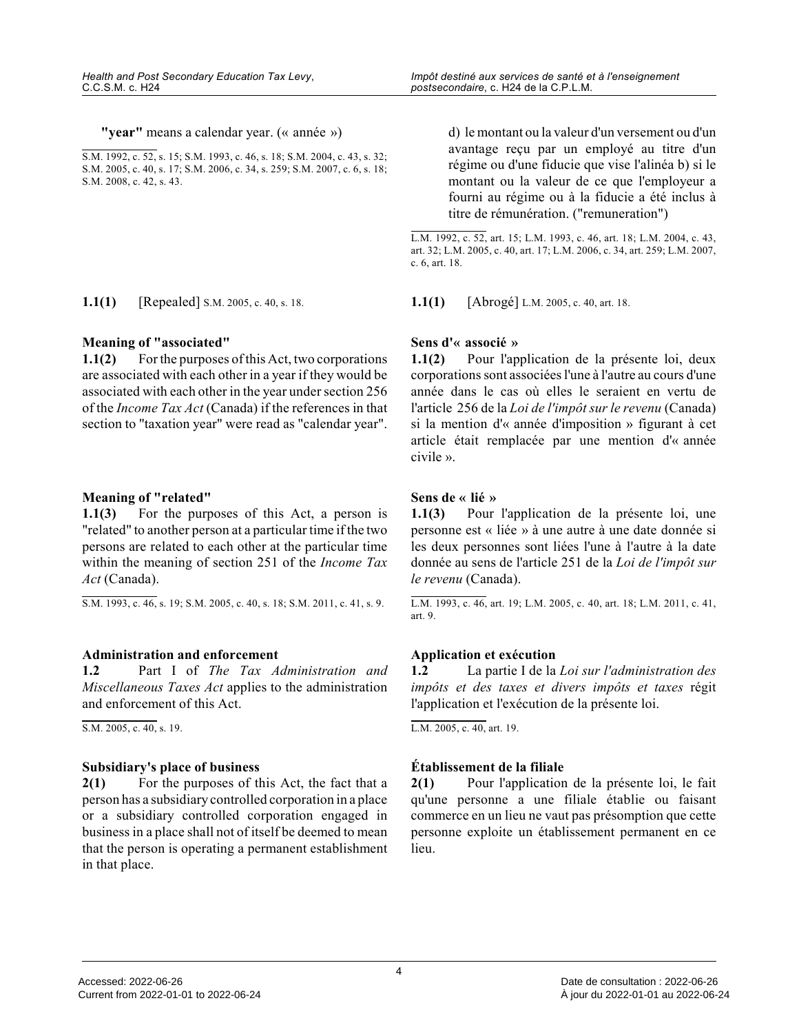**"year"** means a calendar year. (« année »)

S.M. 1992, c. 52, s. 15; S.M. 1993, c. 46, s. 18; S.M. 2004, c. 43, s. 32; S.M. 2005, c. 40, s. 17; S.M. 2006, c. 34, s. 259; S.M. 2007, c. 6, s. 18; S.M. 2008, c. 42, s. 43.

**1.1(1)** [Repealed] S.M. 2005, c. 40, s. 18. **1.1(1)** [Abrogé] L.M. 2005, c. 40, art. 18.

#### **Meaning of "associated"**

**1.1(2)** For the purposes of this Act, two corporations are associated with each other in a year if they would be associated with each other in the year under section 256 of the *Income Tax Act* (Canada) if the references in that section to "taxation year" were read as "calendar year".

#### **Meaning of "related"**

**1.1(3)** For the purposes of this Act, a person is "related" to another person at a particular time if the two persons are related to each other at the particular time within the meaning of section 251 of the *Income Tax Act* (Canada).

S.M. 1993, c. 46, s. 19; S.M. 2005, c. 40, s. 18; S.M. 2011, c. 41, s. 9.

#### **Administration and enforcement**

**1.2** Part I of *The Tax Administration and Miscellaneous Taxes Act* applies to the administration and enforcement of this Act.

S.M. 2005, c. 40, s. 19.

#### **Subsidiary's place of business**

**2(1)** For the purposes of this Act, the fact that a person has a subsidiary controlled corporation in a place or a subsidiary controlled corporation engaged in business in a place shall not of itself be deemed to mean that the person is operating a permanent establishment in that place.

d) le montant ou la valeur d'un versement ou d'un avantage reçu par un employé au titre d'un régime ou d'une fiducie que vise l'alinéa b) si le montant ou la valeur de ce que l'employeur a fourni au régime ou à la fiducie a été inclus à titre de rémunération. ("remuneration")

L.M. 1992, c. 52, art. 15; L.M. 1993, c. 46, art. 18; L.M. 2004, c. 43, art. 32; L.M. 2005, c. 40, art. 17; L.M. 2006, c. 34, art. 259; L.M. 2007, c. 6, art. 18.

#### **Sens d'« associé »**

**1.1(2)** Pour l'application de la présente loi, deux corporations sont associées l'une à l'autre au cours d'une année dans le cas où elles le seraient en vertu de l'article 256 de la *Loi de l'impôt sur le revenu* (Canada) si la mention d'« année d'imposition » figurant à cet article était remplacée par une mention d'« année civile ».

#### **Sens de « lié »**

**1.1(3)** Pour l'application de la présente loi, une personne est « liée » à une autre à une date donnée s i les deux personnes sont liées l'une à l'autre à la date donnée au sens de l'article 251 de la *Loi de l'impôt sur le revenu* (Canada).

L.M. 1993, c. 46, art. 19; L.M. 2005, c. 40, art. 18; L.M. 2011, c. 41, art. 9.

#### **Application et exécution**

**1.2** La partie I de la *Loi sur l'administration des impôts et des taxes et divers impôts et taxes* régit l'application et l'exécution de la présente loi.

L.M. 2005, c. 40, art. 19.

#### **Établissement de la filiale**

**2(1)** Pour l'application de la présente loi, le fait qu'une personne a une filiale établie ou faisant commerce en un lieu ne vaut pas présomption que cett e personne exploite un établissement permanent en ce lieu.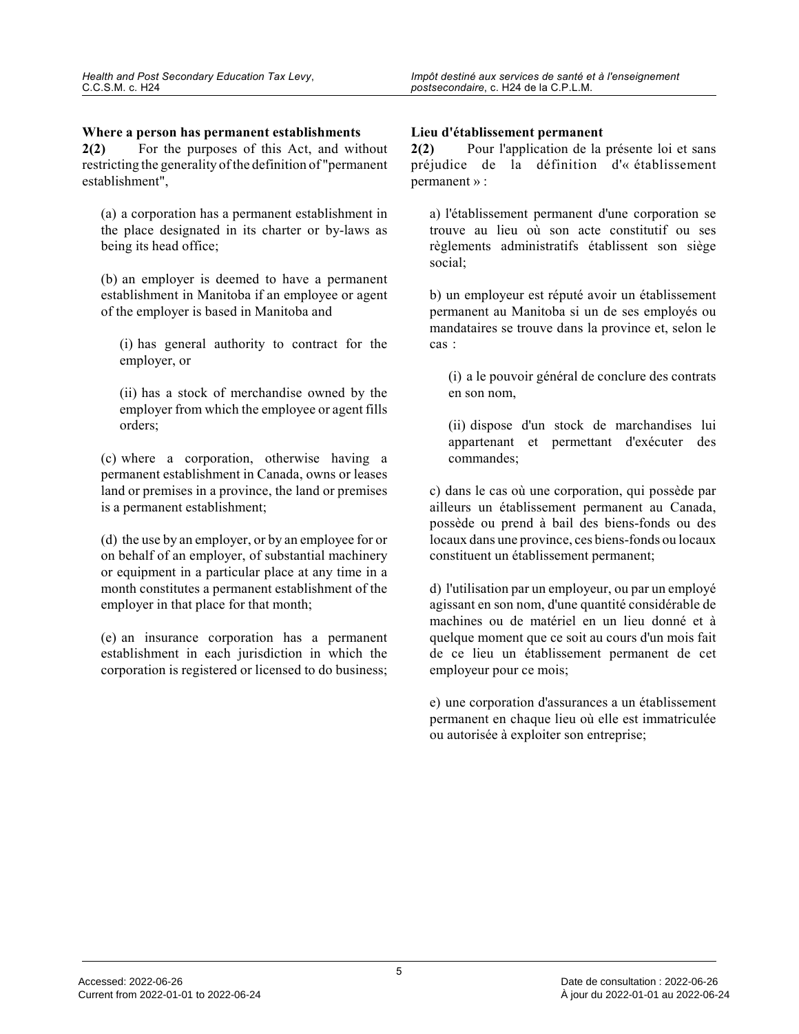#### **Where a person has permanent establishments**

**2(2)** For the purposes of this Act, and without restricting the generality of the definition of "permanent establishment",

(a) a corporation has a permanent establishment in the place designated in its charter or by-laws as being its head office;

(b) an employer is deemed to have a permanent establishment in Manitoba if an employee or agent of the employer is based in Manitoba and

(i) has general authority to contract for the employer, or

(ii) has a stock of merchandise owned by the employer from which the employee or agent fills orders;

(c) where a corporation, otherwise having a permanent establishment in Canada, owns or leases land or premises in a province, the land or premises is a permanent establishment;

(d) the use by an employer, or by an employee for or on behalf of an employer, of substantial machinery or equipment in a particular place at any time in a month constitutes a permanent establishment of the employer in that place for that month;

(e) an insurance corporation has a permanent establishment in each jurisdiction in which the corporation is registered or licensed to do business;

#### **Lieu d'établissement permanent**

**2(2)** Pour l'application de la présente loi et sans préjudice de la définition d'« établissement permanent » :

a) l'établissement permanent d'une corporation se trouve au lieu où son acte constitutif ou ses règlements administratifs établissent son siège social;

b) un employeur est réputé avoir un établissement permanent au Manitoba si un de ses employés ou mandataires se trouve dans la province et, selon le cas :

(i) a le pouvoir général de conclure des contrats en son nom,

(ii) dispose d'un stock de marchandises lui appartenant et permettant d'exécuter des commandes;

c) dans le cas où une corporation, qui possède par ailleurs un établissement permanent au Canada, possède ou prend à bail des biens-fonds ou des locaux dans une province, ces biens-fonds ou locaux constituent un établissement permanent;

d) l'utilisation par un employeur, ou par un employé agissant en son nom, d'une quantité considérable de machines ou de matériel en un lieu donné et à quelque moment que ce soit au cours d'un mois fait de ce lieu un établissement permanent de cet employeur pour ce mois;

e) une corporation d'assurances a un établissement permanent en chaque lieu où elle est immatriculée ou autorisée à exploiter son entreprise;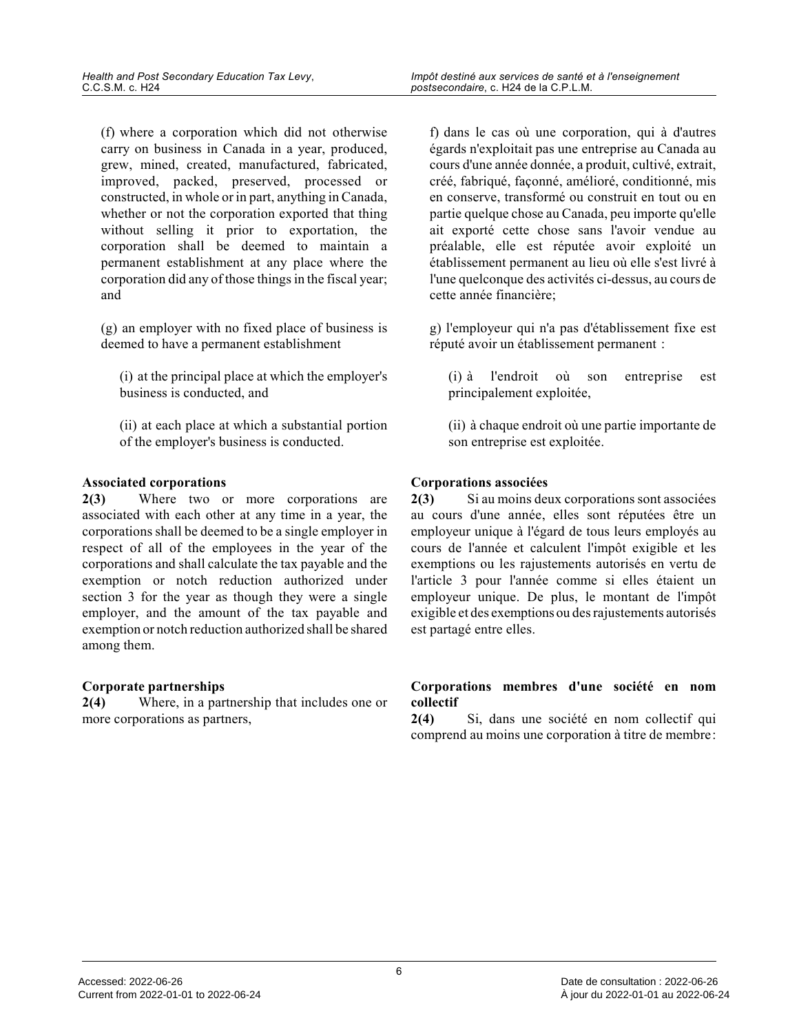(f) where a corporation which did not otherwise carry on business in Canada in a year, produced, grew, mined, created, manufactured, fabricated, improved, packed, preserved, processed or constructed, in whole or in part, anything in Canada, whether or not the corporation exported that thing without selling it prior to exportation, the corporation shall be deemed to maintain a permanent establishment at any place where the corporation did any of those things in the fiscal year; and

(g) an employer with no fixed place of business is deemed to have a permanent establishment

(i) at the principal place at which the employer's business is conducted, and

(ii) at each place at which a substantial portion of the employer's business is conducted.

#### **Associated corporations**

**2(3)** Where two or more corporations are associated with each other at any time in a year, the corporations shall be deemed to be a single employer in respect of all of the employees in the year of the corporations and shall calculate the tax payable and the exemption or notch reduction authorized under section 3 for the year as though they were a single employer, and the amount of the tax payable and exemption or notch reduction authorized shall be shared among them.

#### **Corporate partnerships**

**2(4)** Where, in a partnership that includes one or more corporations as partners,

f) dans le cas où une corporation, qui à d'autres égards n'exploitait pas une entreprise au Canada au cours d'une année donnée, a produit, cultivé, extrait, créé, fabriqué, façonné, amélioré, conditionné, mis en conserve, transformé ou construit en tout ou en partie quelque chose au Canada, peu importe qu'elle ait exporté cette chose sans l'avoir vendue au préalable, elle est réputée avoir exploité un établissement permanent au lieu où elle s'est livré à l'une quelconque des activités ci-dessus, au cours d e cette année financière;

g) l'employeur qui n'a pas d'établissement fixe est réputé avoir un établissement permanent :

(i) à l'endroit où son entreprise est principalement exploitée,

(ii) à chaque endroit où une partie importante de son entreprise est exploitée.

### **Corporations associées**

**2(3)** Si au moins deux corporations sont associées au cours d'une année, elles sont réputées être un employeur unique à l'égard de tous leurs employés a u cours de l'année et calculent l'impôt exigible et les exemptions ou les rajustements autorisés en vertu de l'article 3 pour l'année comme si elles étaient un employeur unique. De plus, le montant de l'impôt exigible et des exemptions ou des rajustements autorisé s est partagé entre elles.

#### **Corporations membres d'une société en nom collectif**

**2(4)** Si, dans une société en nom collectif qui comprend au moins une corporation à titre de membre :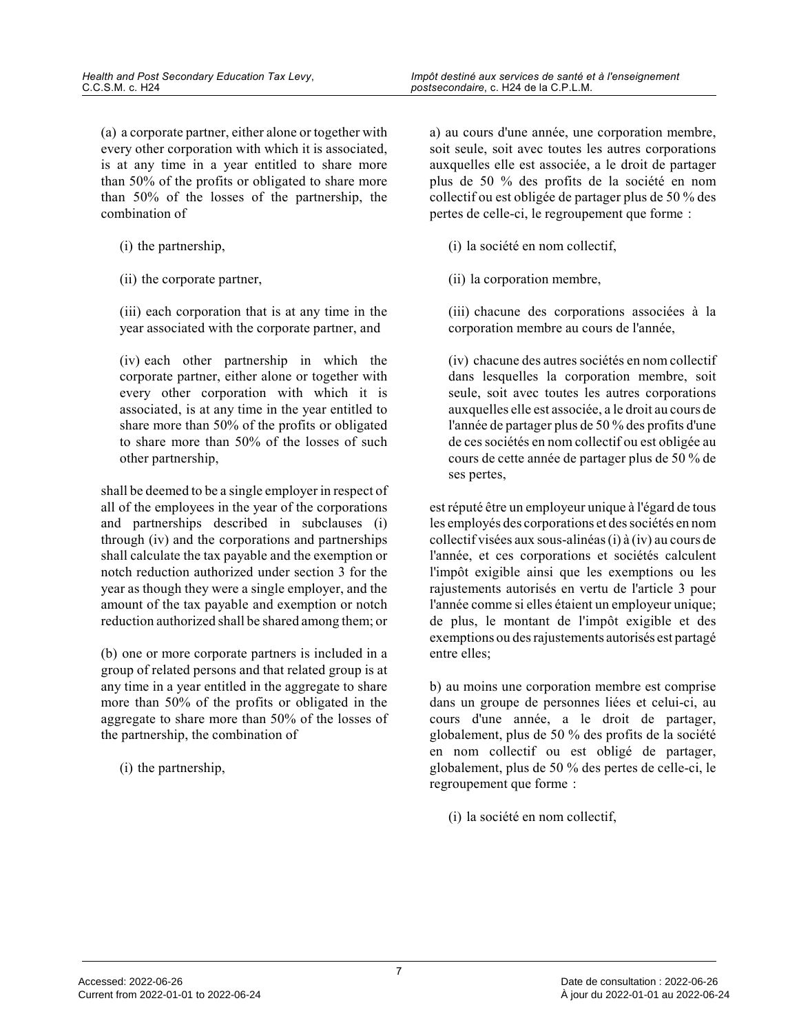(a) a corporate partner, either alone or together with every other corporation with which it is associated, is at any time in a year entitled to share more than 50% of the profits or obligated to share more than 50% of the losses of the partnership, the combination of

- (i) the partnership,
- (ii) the corporate partner,

(iii) each corporation that is at any time in the year associated with the corporate partner, and

(iv) each other partnership in which the corporate partner, either alone or together with every other corporation with which it is associated, is at any time in the year entitled to share more than 50% of the profits or obligated to share more than 50% of the losses of such other partnership,

shall be deemed to be a single employer in respect of all of the employees in the year of the corporations and partnerships described in subclauses (i) through (iv) and the corporations and partnerships shall calculate the tax payable and the exemption o r notch reduction authorized under section 3 for the year as though they were a single employer, and the amount of the tax payable and exemption or notch reduction authorized shall be shared among them; or

(b) one or more corporate partners is included in a group of related persons and that related group is at any time in a year entitled in the aggregate to share more than 50% of the profits or obligated in the aggregate to share more than 50% of the losses of the partnership, the combination of

(i) the partnership,

a) au cours d'une année, une corporation membre, soit seule, soit avec toutes les autres corporations auxquelles elle est associée, a le droit de partage r plus de 50 % des profits de la société en nom collectif ou est obligée de partager plus de 50 % des pertes de celle-ci, le regroupement que forme :

- (i) la société en nom collectif,
- (ii) la corporation membre,

(iii) chacune des corporations associées à la corporation membre au cours de l'année,

(iv) chacune des autres sociétés en nom collectif dans lesquelles la corporation membre, soit seule, soit avec toutes les autres corporations auxquelles elle est associée, a le droit au cours d e l'année de partager plus de 50 % des profits d'une de ces sociétés en nom collectif ou est obligée au cours de cette année de partager plus de 50 % de ses pertes,

est réputé être un employeur unique à l'égard de tous les employés des corporations et des sociétés en no m collectif visées aux sous-alinéas (i) à (iv) au cours de l'année, et ces corporations et sociétés calculent l'impôt exigible ainsi que les exemptions ou les rajustements autorisés en vertu de l'article 3 pour l'année comme si elles étaient un employeur unique; de plus, le montant de l'impôt exigible et des exemptions ou des rajustements autorisés est partagé entre elles;

b) au moins une corporation membre est comprise dans un groupe de personnes liées et celui-ci, au cours d'une année, a le droit de partager, globalement, plus de 50 % des profits de la société en nom collectif ou est obligé de partager, globalement, plus de 50 % des pertes de celle-ci, le regroupement que forme :

(i) la société en nom collectif,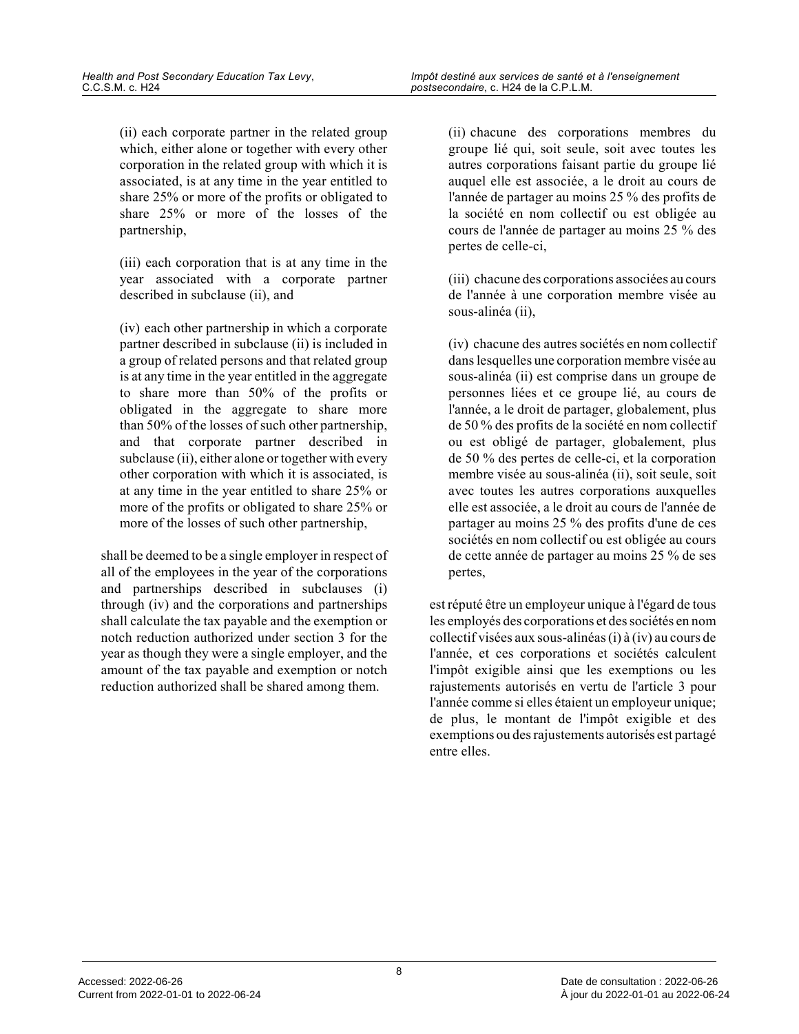(ii) each corporate partner in the related group which, either alone or together with every other corporation in the related group with which it is associated, is at any time in the year entitled to share 25% or more of the profits or obligated to share 25% or more of the losses of the partnership,

(iii) each corporation that is at any time in the year associated with a corporate partner described in subclause (ii), and

(iv) each other partnership in which a corporate partner described in subclause (ii) is included in a group of related persons and that related group is at any time in the year entitled in the aggregate to share more than 50% of the profits or obligated in the aggregate to share more than 50% of the losses of such other partnership, and that corporate partner described in subclause (ii), either alone or together with every other corporation with which it is associated, is at any time in the year entitled to share 25% or more of the profits or obligated to share 25% or more of the losses of such other partnership,

shall be deemed to be a single employer in respect of all of the employees in the year of the corporations and partnerships described in subclauses (i) through (iv) and the corporations and partnerships shall calculate the tax payable and the exemption o r notch reduction authorized under section 3 for the year as though they were a single employer, and the amount of the tax payable and exemption or notch reduction authorized shall be shared among them.

(ii) chacune des corporations membres du groupe lié qui, soit seule, soit avec toutes les autres corporations faisant partie du groupe lié auquel elle est associée, a le droit au cours de l'année de partager au moins 25 % des profits de la société en nom collectif ou est obligée au cours de l'année de partager au moins 25 % des pertes de celle-ci,

(iii) chacune des corporations associées au cours de l'année à une corporation membre visée au sous-alinéa (ii),

(iv) chacune des autres sociétés en nom collectif dans lesquelles une corporation membre visée au sous-alinéa (ii) est comprise dans un groupe de personnes liées et ce groupe lié, au cours de l'année, a le droit de partager, globalement, plus de 50 % des profits de la société en nom collectif ou est obligé de partager, globalement, plus de 50 % des pertes de celle-ci, et la corporation membre visée au sous-alinéa (ii), soit seule, soit avec toutes les autres corporations auxquelles elle est associée, a le droit au cours de l'année d e partager au moins 25 % des profits d'une de ces sociétés en nom collectif ou est obligée au cours de cette année de partager au moins 25 % de ses pertes,

est réputé être un employeur unique à l'égard de tous les employés des corporations et des sociétés en no m collectif visées aux sous-alinéas (i) à (iv) au cours de l'année, et ces corporations et sociétés calculent l'impôt exigible ainsi que les exemptions ou les rajustements autorisés en vertu de l'article 3 pour l'année comme si elles étaient un employeur unique; de plus, le montant de l'impôt exigible et des exemptions ou des rajustements autorisés est partagé entre elles.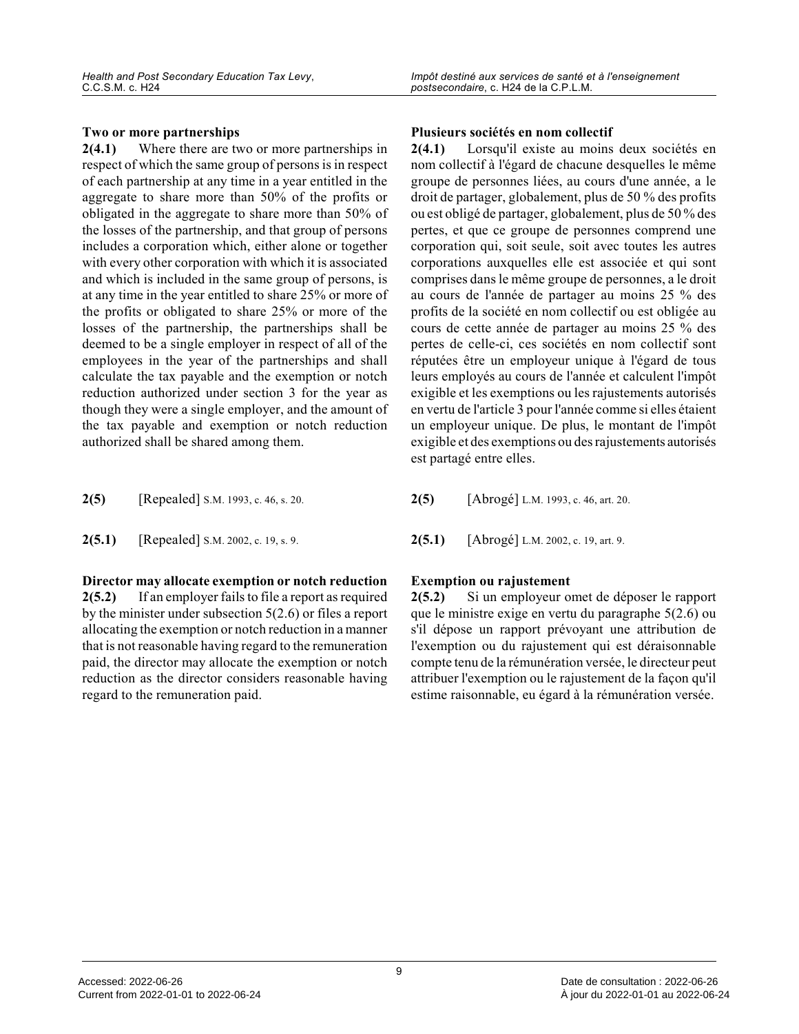#### **Two or more partnerships**

**2(4.1)** Where there are two or more partnerships in respect of which the same group of persons is in respect of each partnership at any time in a year entitled in the aggregate to share more than 50% of the profits or obligated in the aggregate to share more than 50% o f the losses of the partnership, and that group of persons includes a corporation which, either alone or together with every other corporation with which it is associated and which is included in the same group of persons, is at any time in the year entitled to share 25% or more of the profits or obligated to share 25% or more of th e losses of the partnership, the partnerships shall be deemed to be a single employer in respect of all of the employees in the year of the partnerships and shall calculate the tax payable and the exemption or notc h reduction authorized under section 3 for the year a s though they were a single employer, and the amount of the tax payable and exemption or notch reduction authorized shall be shared among them.

| 2(5) | [Repealed] S.M. 1993, c. 46, s. 20. |
|------|-------------------------------------|
|------|-------------------------------------|

**2(5.1)** [Repealed] S.M. 2002, c. 19, s. 9. **2(5.1)** [Abrogé] L.M. 2002, c. 19, art. 9.

**Director may allocate exemption or notch reduction 2(5.2)** If an employer fails to file a report as required by the minister under subsection 5(2.6) or files a report allocating the exemption or notch reduction in a manner that is not reasonable having regard to the remuneration paid, the director may allocate the exemption or notch reduction as the director considers reasonable havin g regard to the remuneration paid.

#### **Plusieurs sociétés en nom collectif**

**2(4.1)** Lorsqu'il existe au moins deux sociétés en nom collectif à l'égard de chacune desquelles le même groupe de personnes liées, au cours d'une année, a le droit de partager, globalement, plus de 50 % des profits ou est obligé de partager, globalement, plus de 50 % des pertes, et que ce groupe de personnes comprend une corporation qui, soit seule, soit avec toutes les autres corporations auxquelles elle est associée et qui sont comprises dans le même groupe de personnes, a le droit au cours de l'année de partager au moins 25 % des profits de la société en nom collectif ou est obligée au cours de cette année de partager au moins 25 % des pertes de celle-ci, ces sociétés en nom collectif sont réputées être un employeur unique à l'égard de tous leurs employés au cours de l'année et calculent l'impô t exigible et les exemptions ou les rajustements autorisés en vertu de l'article 3 pour l'année comme si elles étaient un employeur unique. De plus, le montant de l'impôt exigible et des exemptions ou des rajustements autorisés est partagé entre elles.

- **2(5)** [Abrogé] L.M. 1993, c. 46, art. 20.
- 

#### **Exemption ou rajustement**

**2(5.2)** Si un employeur omet de déposer le rapport que le ministre exige en vertu du paragraphe 5(2.6) ou s'il dépose un rapport prévoyant une attribution de l'exemption ou du rajustement qui est déraisonnable compte tenu de la rémunération versée, le directeur peut attribuer l'exemption ou le rajustement de la façon qu'il estime raisonnable, eu égard à la rémunération versée.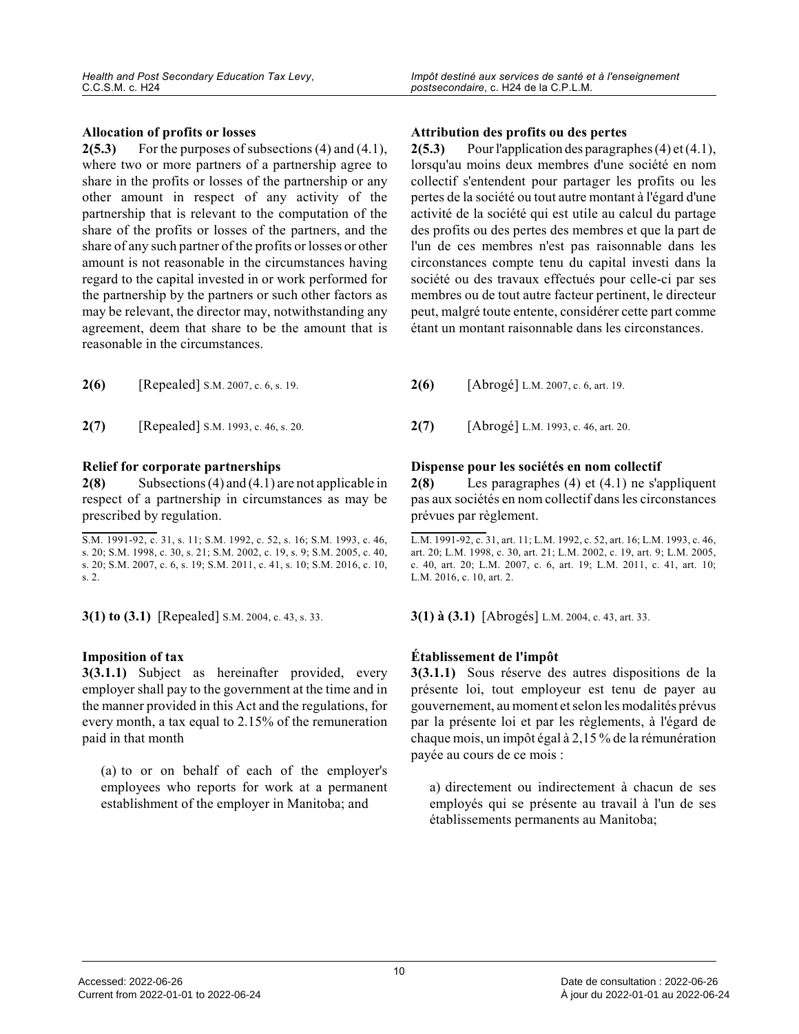#### **Allocation of profits or losses**

**2(5.3)** For the purposes of subsections (4) and (4.1), where two or more partners of a partnership agree to share in the profits or losses of the partnership or any other amount in respect of any activity of the partnership that is relevant to the computation of the share of the profits or losses of the partners, and the share of any such partner of the profits or losses or other amount is not reasonable in the circumstances having regard to the capital invested in or work performed for the partnership by the partners or such other factors a s may be relevant, the director may, notwithstanding any agreement, deem that share to be the amount that is reasonable in the circumstances.

**2(7)** [Repealed] S.M. 1993, c. 46, s. 20. **2(7)** [Abrogé] L.M. 1993, c. 46, art. 20.

#### **Relief for corporate partnerships**

**2(8)** Subsections (4) and (4.1) are not applicable in respect of a partnership in circumstances as may be prescribed by regulation.

**3(1) to (3.1)** [Repealed] S.M. 2004, c. 43, s. 33. **31. 3(1) à (3.1)** [Abrogés] L.M. 2004, c. 43, art. 33.

#### **Imposition of tax**

**3(3.1.1)** Subject as hereinafter provided, every employer shall pay to the government at the time and in the manner provided in this Act and the regulations, for every month, a tax equal to 2.15% of the remuneration paid in that month

(a) to or on behalf of each of the employer's employees who reports for work at a permanent establishment of the employer in Manitoba; and

#### **Attribution des profits ou des pertes**

**2(5.3)** Pour l'application des paragraphes (4) et (4.1), lorsqu'au moins deux membres d'une société en nom collectif s'entendent pour partager les profits ou les pertes de la société ou tout autre montant à l'égard d'une activité de la société qui est utile au calcul du partage des profits ou des pertes des membres et que la part de l'un de ces membres n'est pas raisonnable dans les circonstances compte tenu du capital investi dans la société ou des travaux effectués pour celle-ci par ses membres ou de tout autre facteur pertinent, le directeur peut, malgré toute entente, considérer cette part comme étant un montant raisonnable dans les circonstances .

**2(6)** [Abrogé] L.M. 2007, c. 6, art. 19.

#### **Dispense pour les sociétés en nom collectif**

**2(8)** Les paragraphes (4) et (4.1) ne s'appliquent pas aux sociétés en nom collectif dans les circonstances prévues par règlement.

L.M. 1991-92, c. 31, art. 11; L.M. 1992, c. 52, art. 16; L.M. 1993, c. 46, art. 20; L.M. 1998, c. 30, art. 21; L.M. 2002, c. 19, art. 9; L.M. 2005, c. 40, art. 20; L.M. 2007, c. 6, art. 19; L.M. 2011, c. 41, art. 10; L.M. 2016, c. 10, art. 2.

#### **Établissement de l'impôt**

**3(3.1.1)** Sous réserve des autres dispositions de la présente loi, tout employeur est tenu de payer au gouvernement, au moment et selon les modalités prévus par la présente loi et par les règlements, à l'égard de chaque mois, un impôt égal à 2,15 % de la rémunération payée au cours de ce mois :

a) directement ou indirectement à chacun de ses employés qui se présente au travail à l'un de ses établissements permanents au Manitoba;

S.M. 1991-92, c. 31, s. 11; S.M. 1992, c. 52, s. 16; S.M. 1993, c. 46, s. 20; S.M. 1998, c. 30, s. 21; S.M. 2002, c. 19, s. 9; S.M. 2005, c. 40, s. 20; S.M. 2007, c. 6, s. 19; S.M. 2011, c. 41, s. 10; S.M. 2016, c. 10, s. 2.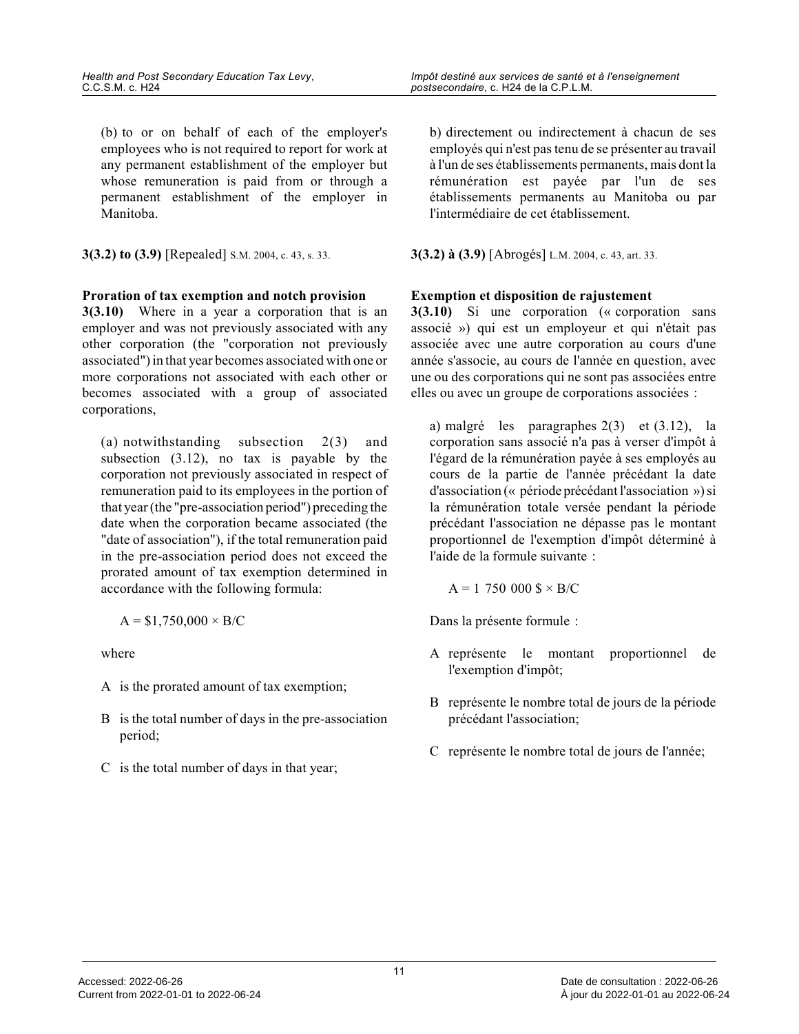(b) to or on behalf of each of the employer's employees who is not required to report for work at any permanent establishment of the employer but whose remuneration is paid from or through a permanent establishment of the employer in Manitoba.

**3(3.2) to (3.9)** [Repealed] S.M. 2004, c. 43, s. 33. **3(3.2) à (3.9)** [Abrogés] L.M. 2004, c. 43, art. 33.

#### **Proration of tax exemption and notch provision**

**3(3.10)** Where in a year a corporation that is an employer and was not previously associated with any other corporation (the "corporation not previously associated") in that year becomes associated with one or more corporations not associated with each other or becomes associated with a group of associated corporations,

(a) notwithstanding subsection 2(3) and subsection (3.12), no tax is payable by the corporation not previously associated in respect of remuneration paid to its employees in the portion o f that year (the "pre-association period") preceding the date when the corporation became associated (the "date of association"), if the total remuneration paid in the pre-association period does not exceed the prorated amount of tax exemption determined in accordance with the following formula:

$$
A = $1,750,000 \times B/C
$$

where

- A is the prorated amount of tax exemption;
- B is the total number of days in the pre-association period;
- C is the total number of days in that year;

b) directement ou indirectement à chacun de ses employés qui n'est pas tenu de se présenter au travail à l'un de ses établissements permanents, mais dont la rémunération est payée par l'un de ses établissements permanents au Manitoba ou par l'intermédiaire de cet établissement.

#### **Exemption et disposition de rajustement**

**3(3.10)** Si une corporation (« corporation sans associé ») qui est un employeur et qui n'était pas associée avec une autre corporation au cours d'une année s'associe, au cours de l'année en question, avec une ou des corporations qui ne sont pas associées entre elles ou avec un groupe de corporations associées :

a) malgré les paragraphes 2(3) et (3.12), la corporation sans associé n'a pas à verser d'impôt à l'égard de la rémunération payée à ses employés au cours de la partie de l'année précédant la date d'association (« période précédant l'association ») si la rémunération totale versée pendant la période précédant l'association ne dépasse pas le montant proportionnel de l'exemption d'impôt déterminé à l'aide de la formule suivante :

$$
A = 1 750 000
$$
  $\$ \times B/C$ 

Dans la présente formule :

- A représente le montant proportionnel de l'exemption d'impôt;
- B représente le nombre total de jours de la période précédant l'association;
- C représente le nombre total de jours de l'année;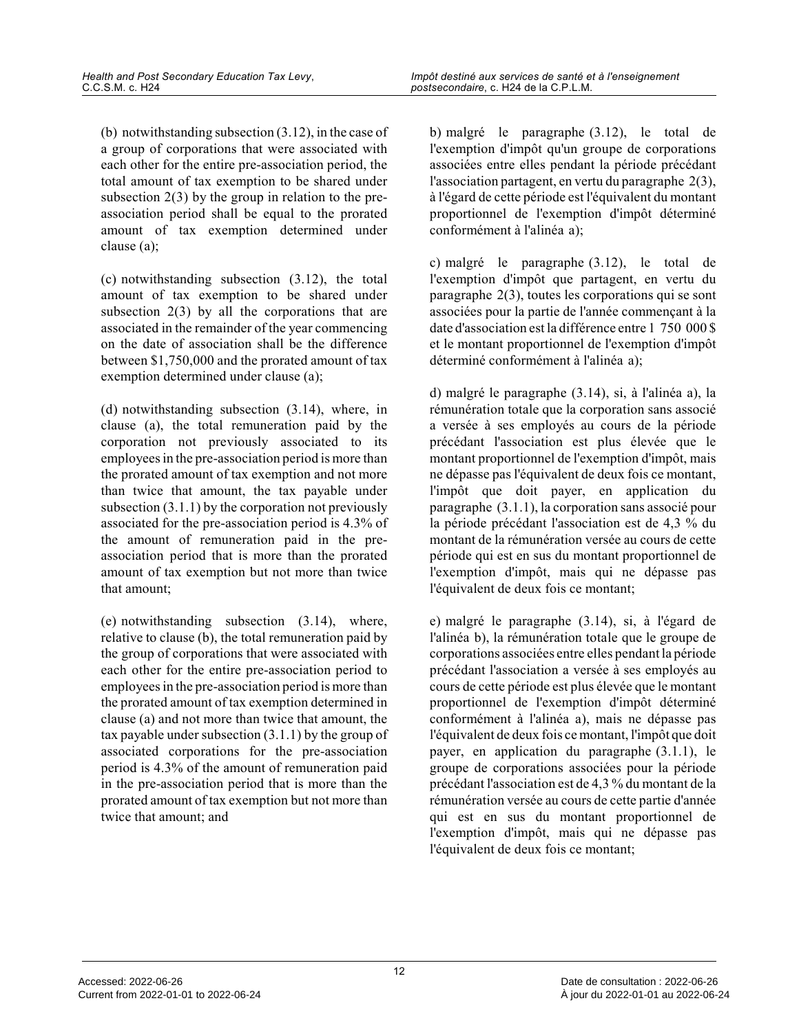(b) notwithstanding subsection (3.12), in the case o f a group of corporations that were associated with each other for the entire pre-association period, the total amount of tax exemption to be shared under subsection 2(3) by the group in relation to the pre association period shall be equal to the prorated amount of tax exemption determined under clause (a);

(c) notwithstanding subsection (3.12), the total amount of tax exemption to be shared under subsection  $2(3)$  by all the corporations that are associated in the remainder of the year commencing on the date of association shall be the difference between \$1,750,000 and the prorated amount of tax exemption determined under clause (a);

(d) notwithstanding subsection (3.14), where, in clause (a), the total remuneration paid by the corporation not previously associated to its employees in the pre-association period is more tha n the prorated amount of tax exemption and not more than twice that amount, the tax payable under subsection (3.1.1) by the corporation not previously associated for the pre-association period is 4.3% of the amount of remuneration paid in the preassociation period that is more than the prorated amount of tax exemption but not more than twice that amount;

(e) notwithstanding subsection (3.14), where, relative to clause (b), the total remuneration paid by the group of corporations that were associated with each other for the entire pre-association period to employees in the pre-association period is more tha n the prorated amount of tax exemption determined in clause (a) and not more than twice that amount, the tax payable under subsection (3.1.1) by the group o f associated corporations for the pre-association period is 4.3% of the amount of remuneration paid in the pre-association period that is more than the prorated amount of tax exemption but not more than twice that amount; and

b) malgré le paragraphe (3.12), le total de l'exemption d'impôt qu'un groupe de corporations associées entre elles pendant la période précédant l'association partagent, en vertu du paragraphe 2(3), à l'égard de cette période est l'équivalent du montant proportionnel de l'exemption d'impôt déterminé conformément à l'alinéa a);

c) malgré le paragraphe (3.12), le total de l'exemption d'impôt que partagent, en vertu du paragraphe 2(3), toutes les corporations qui se sont associées pour la partie de l'année commençant à la date d'association est la différence entre 1 750 000 \$ et le montant proportionnel de l'exemption d'impôt déterminé conformément à l'alinéa a);

d) malgré le paragraphe (3.14), si, à l'alinéa a), l a rémunération totale que la corporation sans associé a versée à ses employés au cours de la période précédant l'association est plus élevée que le montant proportionnel de l'exemption d'impôt, mais ne dépasse pas l'équivalent de deux fois ce montant, l'impôt que doit payer, en application du paragraphe (3.1.1), la corporation sans associé pour la période précédant l'association est de 4,3 % du montant de la rémunération versée au cours de cette période qui est en sus du montant proportionnel de l'exemption d'impôt, mais qui ne dépasse pas l'équivalent de deux fois ce montant;

e) malgré le paragraphe (3.14), si, à l'égard de l'alinéa b), la rémunération totale que le groupe de corporations associées entre elles pendant la période précédant l'association a versée à ses employés au cours de cette période est plus élevée que le montan t proportionnel de l'exemption d'impôt déterminé conformément à l'alinéa a), mais ne dépasse pas l'équivalent de deux fois ce montant, l'impôt que doit payer, en application du paragraphe (3.1.1), le groupe de corporations associées pour la période précédant l'association est de 4,3 % du montant de la rémunération versée au cours de cette partie d'année qui est en sus du montant proportionnel de l'exemption d'impôt, mais qui ne dépasse pas l'équivalent de deux fois ce montant;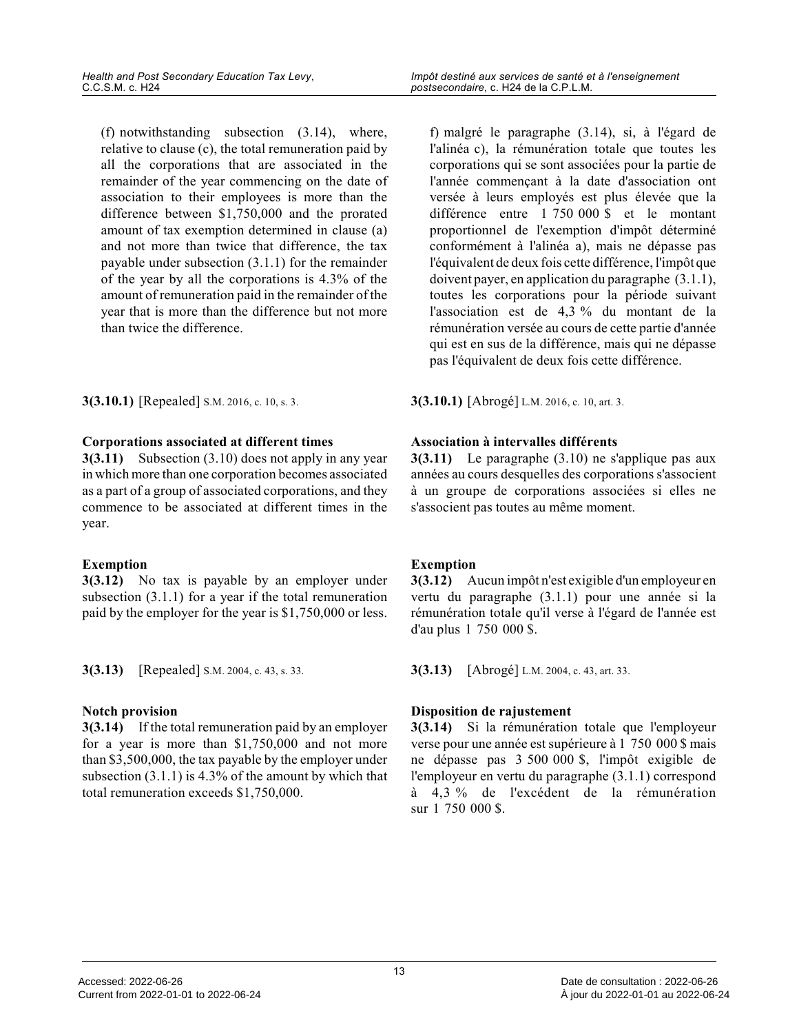(f) notwithstanding subsection (3.14), where, relative to clause (c), the total remuneration paid by all the corporations that are associated in the remainder of the year commencing on the date of association to their employees is more than the difference between \$1,750,000 and the prorated amount of tax exemption determined in clause (a) and not more than twice that difference, the tax payable under subsection (3.1.1) for the remainder of the year by all the corporations is 4.3% of the amount of remuneration paid in the remainder of the year that is more than the difference but not more than twice the difference.

**3(3.10.1)** [Repealed] S.M. 2016, c. 10, s. 3. **3(3.10.1)** [Abrogé] L.M. 2016, c. 10, art. 3.

#### **Corporations associated at different times**

**3(3.11)** Subsection (3.10) does not apply in any year in which more than one corporation becomes associated as a part of a group of associated corporations, and they commence to be associated at different times in the year.

#### **Exemption**

**3(3.12)** No tax is payable by an employer under subsection  $(3.1.1)$  for a year if the total remuneration paid by the employer for the year is \$1,750,000 or less.

**3(3.13)** [Repealed] S.M. 2004, c. 43, s. 33. **3(3.13)** [Abrogé] L.M. 2004, c. 43, art. 33.

#### **Notch provision**

**3(3.14)** If the total remuneration paid by an employer for a year is more than \$1,750,000 and not more than \$3,500,000, the tax payable by the employer under subsection (3.1.1) is 4.3% of the amount by which that total remuneration exceeds \$1,750,000.

f) malgré le paragraphe (3.14), si, à l'égard de l'alinéa c), la rémunération totale que toutes les corporations qui se sont associées pour la partie d e l'année commençant à la date d'association ont versée à leurs employés est plus élevée que la différence entre 1 750 000 \$ et le montant proportionnel de l'exemption d'impôt déterminé conformément à l'alinéa a), mais ne dépasse pas l'équivalent de deux fois cette différence, l'impôt que doivent payer, en application du paragraphe (3.1.1), toutes les corporations pour la période suivant l'association est de 4,3 % du montant de la rémunération versée au cours de cette partie d'année qui est en sus de la différence, mais qui ne dépasse pas l'équivalent de deux fois cette différence.

#### **Association à intervalles différents**

**3(3.11)** Le paragraphe (3.10) ne s'applique pas aux années au cours desquelles des corporations s'associent à un groupe de corporations associées si elles ne s'associent pas toutes au même moment.

### **Exemption**

**3(3.12)** Aucun impôt n'est exigible d'un employeur en vertu du paragraphe (3.1.1) pour une année si la rémunération totale qu'il verse à l'égard de l'année est d'au plus 1 750 000 \$.

#### **Disposition de rajustement**

**3(3.14)** Si la rémunération totale que l'employeur verse pour une année est supérieure à 1 750 000 \$ mais ne dépasse pas 3 500 000 \$, l'impôt exigible de l'employeur en vertu du paragraphe (3.1.1) correspond à 4,3 % de l'excédent de la rémunération sur 1 750 000 \$.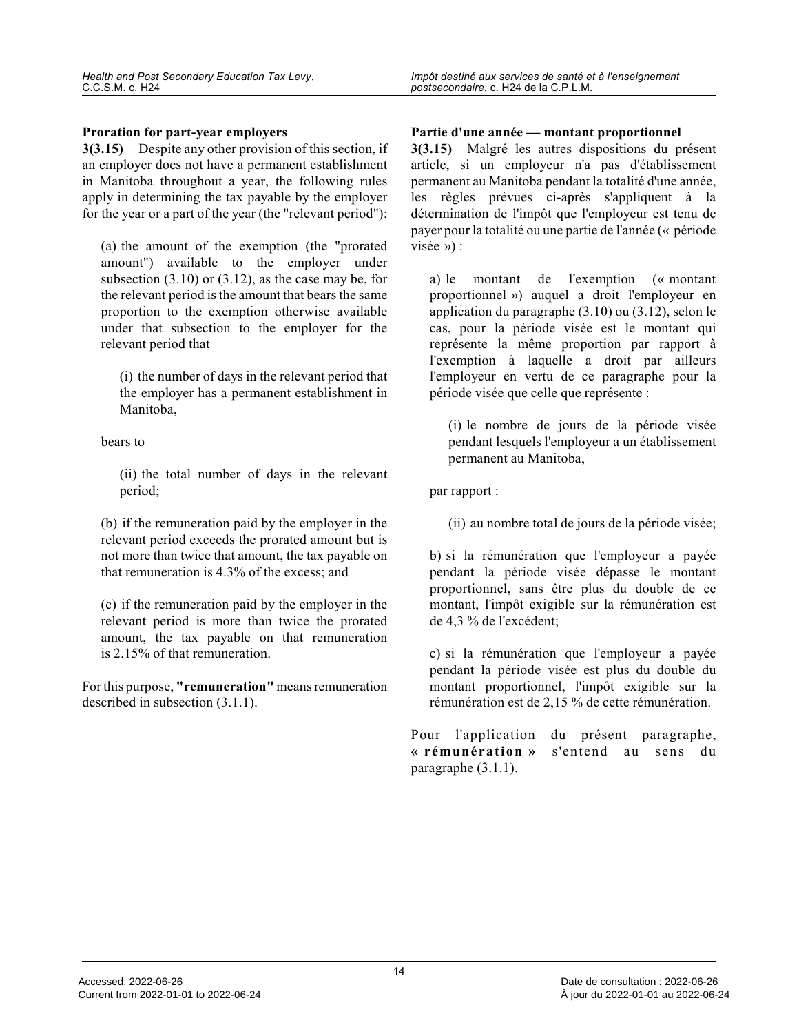#### **Proration for part-year employers**

**3(3.15)** Despite any other provision of this section, if an employer does not have a permanent establishment in Manitoba throughout a year, the following rules apply in determining the tax payable by the employe r for the year or a part of the year (the "relevant period"):

(a) the amount of the exemption (the "prorated amount") available to the employer under subsection (3.10) or (3.12), as the case may be, for the relevant period is the amount that bears the sam e proportion to the exemption otherwise available under that subsection to the employer for the relevant period that

(i) the number of days in the relevant period that the employer has a permanent establishment in Manitoba,

bears to

(ii) the total number of days in the relevant period;

(b) if the remuneration paid by the employer in the relevant period exceeds the prorated amount but is not more than twice that amount, the tax payable on that remuneration is 4.3% of the excess; and

(c) if the remuneration paid by the employer in the relevant period is more than twice the prorated amount, the tax payable on that remuneration is 2.15% of that remuneration.

For this purpose, **"remuneration"** means remuneration described in subsection (3.1.1).

#### **Partie d'une année — montant proportionnel**

**3(3.15)** Malgré les autres dispositions du présent article, si un employeur n'a pas d'établissement permanent au Manitoba pendant la totalité d'une année, les règles prévues ci-après s'appliquent à la détermination de l'impôt que l'employeur est tenu d e payer pour la totalité ou une partie de l'année (« période visée ») :

a) le montant de l'exemption (« montant proportionnel ») auquel a droit l'employeur en application du paragraphe (3.10) ou (3.12), selon l e cas, pour la période visée est le montant qui représente la même proportion par rapport à l'exemption à laquelle a droit par ailleurs l'employeur en vertu de ce paragraphe pour la période visée que celle que représente :

(i) le nombre de jours de la période visée pendant lesquels l'employeur a un établissement permanent au Manitoba,

par rapport :

(ii) au nombre total de jours de la période visée;

b) si la rémunération que l'employeur a payée pendant la période visée dépasse le montant proportionnel, sans être plus du double de ce montant, l'impôt exigible sur la rémunération est de 4,3 % de l'excédent;

c) si la rémunération que l'employeur a payée pendant la période visée est plus du double du montant proportionnel, l'impôt exigible sur la rémunération est de 2,15 % de cette rémunération.

Pour l'application du présent paragraphe, **« rémunération »** s'entend au sens du paragraphe (3.1.1).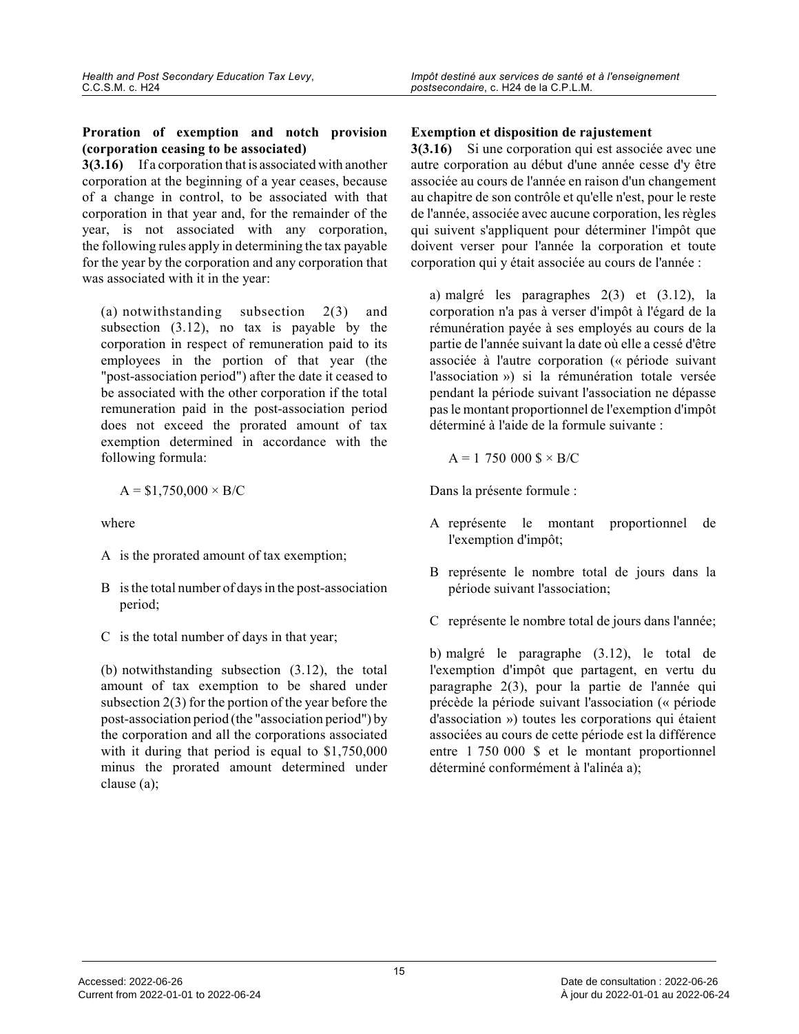#### **Proration of exemption and notch provision (corporation ceasing to be associated)**

**3(3.16)** If a corporation that is associated with another corporation at the beginning of a year ceases, because of a change in control, to be associated with that corporation in that year and, for the remainder of the year, is not associated with any corporation, the following rules apply in determining the tax payable for the year by the corporation and any corporation that was associated with it in the year:

(a) notwithstanding subsection 2(3) and subsection (3.12), no tax is payable by the corporation in respect of remuneration paid to its employees in the portion of that year (the "post-association period") after the date it ceased to be associated with the other corporation if the total remuneration paid in the post-association period does not exceed the prorated amount of tax exemption determined in accordance with the following formula:

$$
A = $1,750,000 \times B/C
$$

where

- A is the prorated amount of tax exemption;
- B is the total number of days in the post-associatio n period;
- C is the total number of days in that year;

(b) notwithstanding subsection (3.12), the total amount of tax exemption to be shared under subsection 2(3) for the portion of the year before the post-association period (the "association period") by the corporation and all the corporations associated with it during that period is equal to \$1,750,000 minus the prorated amount determined under clause (a);

### **Exemption et disposition de rajustement**

**3(3.16)** Si une corporation qui est associée avec une autre corporation au début d'une année cesse d'y être associée au cours de l'année en raison d'un changement au chapitre de son contrôle et qu'elle n'est, pour le reste de l'année, associée avec aucune corporation, les règles qui suivent s'appliquent pour déterminer l'impôt que doivent verser pour l'année la corporation et toute corporation qui y était associée au cours de l'année :

a) malgré les paragraphes 2(3) et (3.12), la corporation n'a pas à verser d'impôt à l'égard de la rémunération payée à ses employés au cours de la partie de l'année suivant la date où elle a cessé d'être associée à l'autre corporation (« période suivant l'association ») si la rémunération totale versée pendant la période suivant l'association ne dépasse pas le montant proportionnel de l'exemption d'impôt déterminé à l'aide de la formule suivante :

$$
A = 1 750 000 \text{ s} \times B/C
$$

Dans la présente formule :

- A représente le montant proportionnel de l'exemption d'impôt;
- B représente le nombre total de jours dans la période suivant l'association;
- C représente le nombre total de jours dans l'année;

b) malgré le paragraphe (3.12), le total de l'exemption d'impôt que partagent, en vertu du paragraphe 2(3), pour la partie de l'année qui précède la période suivant l'association (« période d'association ») toutes les corporations qui étaient associées au cours de cette période est la différence entre 1 750 000 \$ et le montant proportionnel déterminé conformément à l'alinéa a);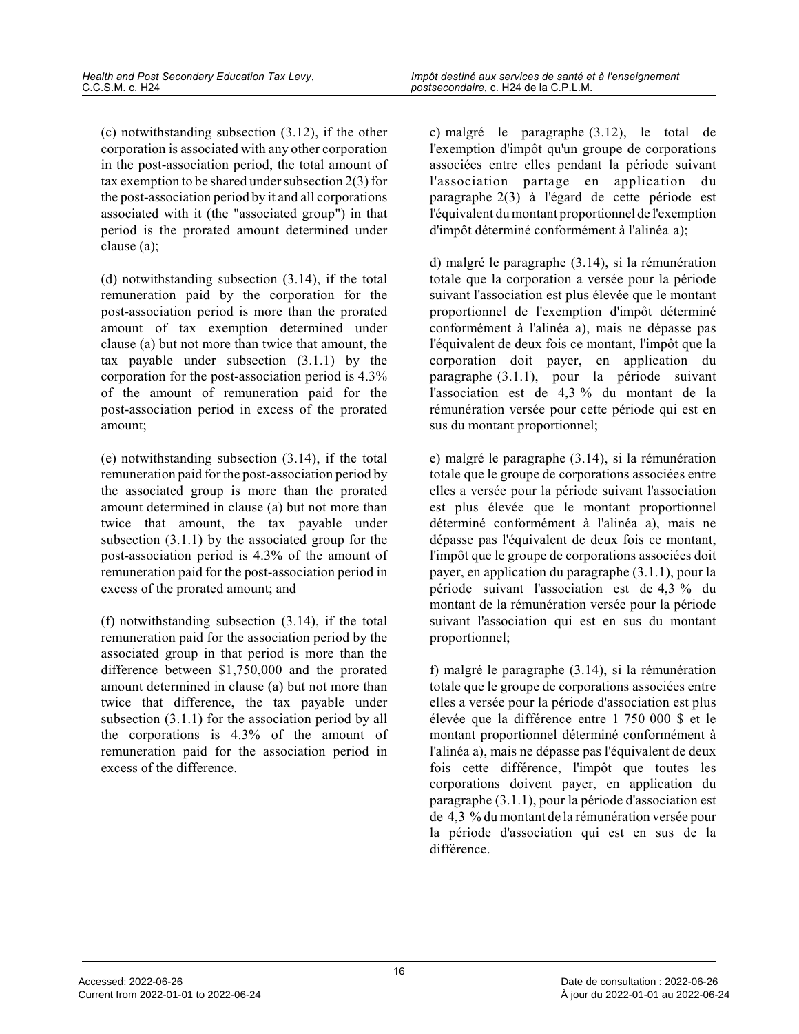(c) notwithstanding subsection (3.12), if the other corporation is associated with any other corporatio n in the post-association period, the total amount of tax exemption to be shared under subsection 2(3) fo r the post-association period by it and all corporations associated with it (the "associated group") in that period is the prorated amount determined under clause (a);

(d) notwithstanding subsection (3.14), if the total remuneration paid by the corporation for the post-association period is more than the prorated amount of tax exemption determined under clause (a) but not more than twice that amount, the tax payable under subsection (3.1.1) by the corporation for the post-association period is 4.3% of the amount of remuneration paid for the post-association period in excess of the prorated amount;

(e) notwithstanding subsection (3.14), if the total remuneration paid for the post-association period b y the associated group is more than the prorated amount determined in clause (a) but not more than twice that amount, the tax payable under subsection (3.1.1) by the associated group for the post-association period is 4.3% of the amount of remuneration paid for the post-association period i n excess of the prorated amount; and

(f) notwithstanding subsection (3.14), if the total remuneration paid for the association period by the associated group in that period is more than the difference between \$1,750,000 and the prorated amount determined in clause (a) but not more than twice that difference, the tax payable under subsection (3.1.1) for the association period by al l the corporations is 4.3% of the amount of remuneration paid for the association period in excess of the difference.

c) malgré le paragraphe (3.12), le total de l'exemption d'impôt qu'un groupe de corporations associées entre elles pendant la période suivant l'association partage en application du paragraphe 2(3) à l'égard de cette période est l'équivalent du montant proportionnel de l'exemption d'impôt déterminé conformément à l'alinéa a);

d) malgré le paragraphe (3.14), si la rémunération totale que la corporation a versée pour la période suivant l'association est plus élevée que le montant proportionnel de l'exemption d'impôt déterminé conformément à l'alinéa a), mais ne dépasse pas l'équivalent de deux fois ce montant, l'impôt que la corporation doit payer, en application du paragraphe (3.1.1), pour la période suivant l'association est de 4,3 % du montant de la rémunération versée pour cette période qui est en sus du montant proportionnel;

e) malgré le paragraphe (3.14), si la rémunération totale que le groupe de corporations associées entr e elles a versée pour la période suivant l'association est plus élevée que le montant proportionnel déterminé conformément à l'alinéa a), mais ne dépasse pas l'équivalent de deux fois ce montant, l'impôt que le groupe de corporations associées doi t payer, en application du paragraphe (3.1.1), pour l a période suivant l'association est de 4,3 % du montant de la rémunération versée pour la période suivant l'association qui est en sus du montant proportionnel;

f) malgré le paragraphe (3.14), si la rémunération totale que le groupe de corporations associées entr e elles a versée pour la période d'association est plu s élevée que la différence entre 1 750 000 \$ et le montant proportionnel déterminé conformément à l'alinéa a), mais ne dépasse pas l'équivalent de deu x fois cette différence, l'impôt que toutes les corporations doivent payer, en application du paragraphe (3.1.1), pour la période d'association est de 4,3 % du montant de la rémunération versée pour la période d'association qui est en sus de la différence.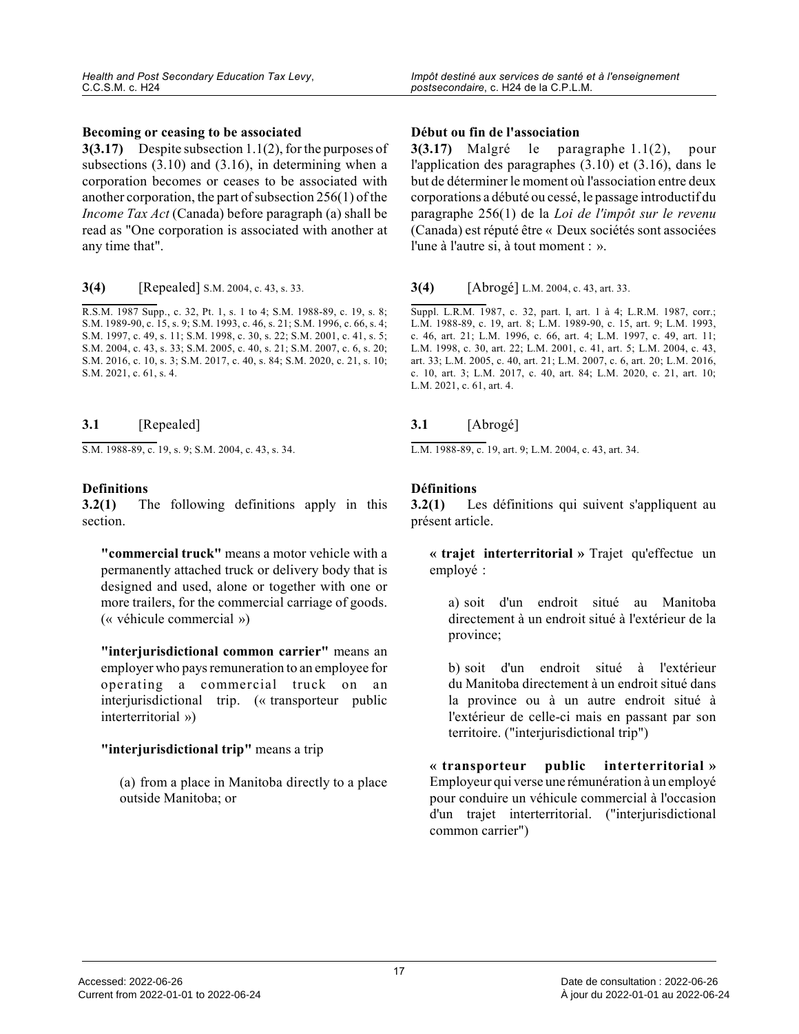**3(3.17)** Despite subsection 1.1(2), for the purposes of subsections (3.10) and (3.16), in determining when a corporation becomes or ceases to be associated with another corporation, the part of subsection 256(1) of the *Income Tax Act* (Canada) before paragraph (a) shall be read as "One corporation is associated with another at any time that".

**3(4)** [Repealed] S.M. 2004, c. 43, s. 33.

R.S.M. 1987 Supp., c. 32, Pt. 1, s. 1 to 4; S.M. 1988-89, c. 19, s. 8; S.M. 1989-90, c. 15, s. 9; S.M. 1993, c. 46, s. 21; S.M. 1996, c. 66, s. 4; S.M. 1997, c. 49, s. 11; S.M. 1998, c. 30, s. 22; S.M. 2001, c. 41, s. 5; S.M. 2004, c. 43, s. 33; S.M. 2005, c. 40, s. 21; S.M. 2007, c. 6, s. 20; S.M. 2016, c. 10, s. 3; S.M. 2017, c. 40, s. 84; S.M. 2020, c. 21, s. 10; S.M. 2021, c. 61, s. 4.

#### **3.1** [Repealed]

S.M. 1988-89, c. 19, s. 9; S.M. 2004, c. 43, s. 34.

#### **Definitions**

**3.2(1)** The following definitions apply in this section.

**"commercial truck"** means a motor vehicle with a permanently attached truck or delivery body that is designed and used, alone or together with one or more trailers, for the commercial carriage of goods . (« véhicule commercial »)

**"interjurisdictional common carrier"** means an employer who pays remuneration to an employee for operating a commercial truck on an interjurisdictional trip. (« transporteur public interterritorial »)

#### **"interjurisdictional trip"** means a trip

(a) from a place in Manitoba directly to a place outside Manitoba; or

#### **Début ou fin de l'association**

**3(3.17)** Malgré le paragraphe 1.1(2), pour l'application des paragraphes (3.10) et (3.16), dans le but de déterminer le moment où l'association entre deux corporations a débuté ou cessé, le passage introductif du paragraphe 256(1) de la *Loi de l'impôt sur le revenu* (Canada) est réputé être « Deux sociétés sont associées l'une à l'autre si, à tout moment : ».

**3(4)** [Abrogé] L.M. 2004, c. 43, art. 33.

Suppl. L.R.M. 1987, c. 32, part. I, art. 1 à 4; L.R.M. 1987, corr.; L.M. 1988-89, c. 19, art. 8; L.M. 1989-90, c. 15, art. 9; L.M. 1993, c. 46, art. 21; L.M. 1996, c. 66, art. 4; L.M. 1997, c. 49, art. 11; L.M. 1998, c. 30, art. 22; L.M. 2001, c. 41, art. 5; L.M. 2004, c. 43, art. 33; L.M. 2005, c. 40, art. 21; L.M. 2007, c. 6, art. 20; L.M. 2016, c. 10, art. 3; L.M. 2017, c. 40, art. 84; L.M. 2020, c. 21, art. 10; L.M. 2021, c. 61, art. 4.

#### **3.1** [Abrogé]

L.M. 1988-89, c. 19, art. 9; L.M. 2004, c. 43, art. 34.

#### **Définitions**

**3.2(1)** Les définitions qui suivent s'appliquent au présent article.

**« trajet interterritorial »** Trajet qu'effectue un employé :

a) soit d'un endroit situé au Manitoba directement à un endroit situé à l'extérieur de la province;

b) soit d'un endroit situé à l'extérieur du Manitoba directement à un endroit situé dans la province ou à un autre endroit situé à l'extérieur de celle-ci mais en passant par son territoire. ("interjurisdictional trip")

**« transporteur public interterritorial »** Employeur qui verse une rémunération à un employé pour conduire un véhicule commercial à l'occasion d'un trajet interterritorial. ("interjurisdictional common carrier")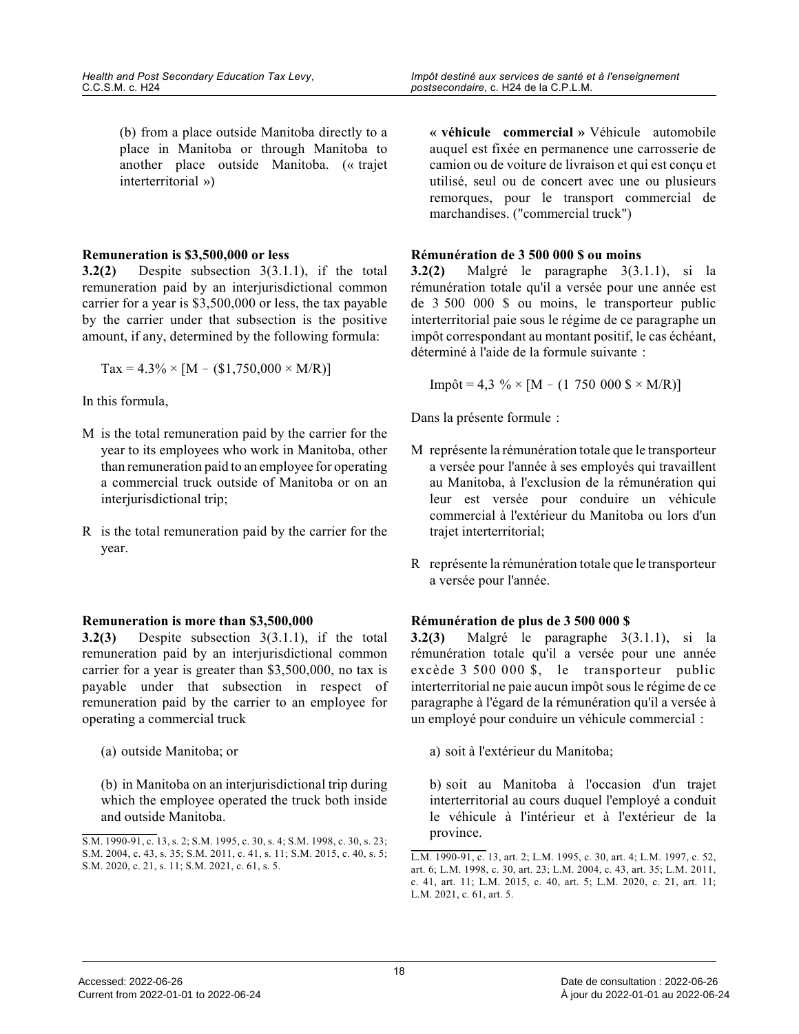(b) from a place outside Manitoba directly to a place in Manitoba or through Manitoba to another place outside Manitoba. (« trajet interterritorial »)

#### **Remuneration is \$3,500,000 or less**

**3.2(2)** Despite subsection 3(3.1.1), if the total remuneration paid by an interjurisdictional common carrier for a year is \$3,500,000 or less, the tax payable by the carrier under that subsection is the positive amount, if any, determined by the following formula :

 $\text{Tax} = 4.3\% \times [M - (\$1,750,000 \times M/R)]$ 

In this formula,

- M is the total remuneration paid by the carrier for the year to its employees who work in Manitoba, other than remuneration paid to an employee for operating a commercial truck outside of Manitoba or on an interjurisdictional trip;
- R is the total remuneration paid by the carrier for the year.

#### **Remuneration is more than \$3,500,000**

**3.2(3)** Despite subsection 3(3.1.1), if the total remuneration paid by an interjurisdictional common carrier for a year is greater than \$3,500,000, no tax is payable under that subsection in respect of remuneration paid by the carrier to an employee for operating a commercial truck

(a) outside Manitoba; or

(b) in Manitoba on an interjurisdictional trip durin g which the employee operated the truck both inside and outside Manitoba.

**« véhicule commercial »** Véhicule automobile auquel est fixée en permanence une carrosserie de camion ou de voiture de livraison et qui est conçu et utilisé, seul ou de concert avec une ou plusieurs remorques, pour le transport commercial de marchandises. ("commercial truck")

#### **Rémunération de 3 500 000 \$ ou moins**

**3.2(2)** Malgré le paragraphe 3(3.1.1), si la rémunération totale qu'il a versée pour une année es t de 3 500 000 \$ ou moins, le transporteur public interterritorial paie sous le régime de ce paragraphe un impôt correspondant au montant positif, le cas échéant, déterminé à l'aide de la formule suivante :

 $\text{Impôt} = 4,3 \% \times [M - (1 750 000 $ \times M/R)]$ 

Dans la présente formule :

- M représente la rémunération totale que le transporteur a versée pour l'année à ses employés qui travaillent au Manitoba, à l'exclusion de la rémunération qui leur est versée pour conduire un véhicule commercial à l'extérieur du Manitoba ou lors d'un trajet interterritorial;
- R représente la rémunération totale que le transporteur a versée pour l'année.

#### **Rémunération de plus de 3 500 000 \$**

**3.2(3)** Malgré le paragraphe 3(3.1.1), si la rémunération totale qu'il a versée pour une année excède 3 500 000 \$, le transporteur public interterritorial ne paie aucun impôt sous le régime de ce paragraphe à l'égard de la rémunération qu'il a versée à un employé pour conduire un véhicule commercial :

a) soit à l'extérieur du Manitoba;

b) soit au Manitoba à l'occasion d'un trajet interterritorial au cours duquel l'employé a condui t le véhicule à l'intérieur et à l'extérieur de la province.

S.M. 1990-91, c. 13, s. 2; S.M. 1995, c. 30, s. 4; S.M. 1998, c. 30, s. 23; S.M. 2004, c. 43, s. 35; S.M. 2011, c. 41, s. 11; S.M. 2015, c. 40, s. 5; S.M. 2020, c. 21, s. 11; S.M. 2021, c. 61, s. 5.

L.M. 1990-91, c. 13, art. 2; L.M. 1995, c. 30, art. 4; L.M. 1997, c. 52, art. 6; L.M. 1998, c. 30, art. 23; L.M. 2004, c. 43, art. 35; L.M. 2011, c. 41, art. 11; L.M. 2015, c. 40, art. 5; L.M. 2020, c. 21, art. 11; L.M. 2021, c. 61, art. 5.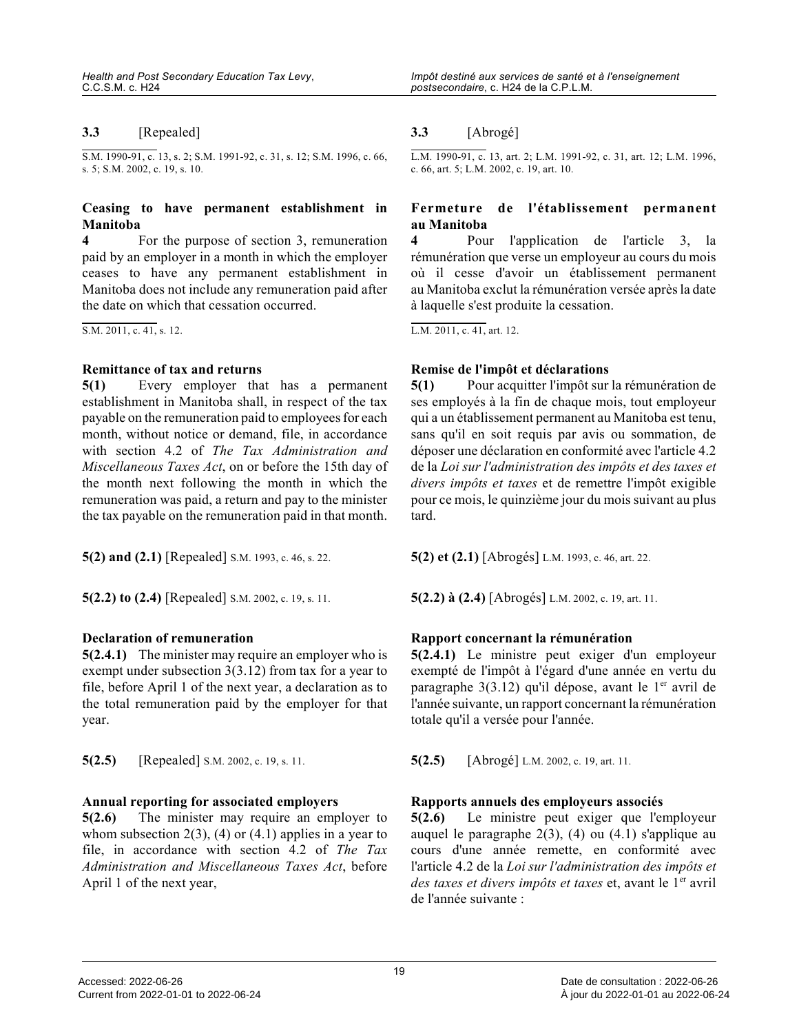#### **3.3** [Repealed]

S.M. 1990-91, c. 13, s. 2; S.M. 1991-92, c. 31, s. 12; S.M. 1996, c. 66, s. 5; S.M. 2002, c. 19, s. 10.

# **Ceasing to have permanent establishment in Manitoba**<br>**4** For the purpose of section 3, remuneration

paid by an employer in a month in which the employer ceases to have any permanent establishment in Manitoba does not include any remuneration paid after the date on which that cessation occurred.

S.M. 2011, c. 41, s. 12.

#### **Remittance of tax and returns**

**5(1)** Every employer that has a permanent establishment in Manitoba shall, in respect of the tax payable on the remuneration paid to employees for each month, without notice or demand, file, in accordanc e with section 4.2 of *The Tax Administration and Miscellaneous Taxes Act*, on or before the 15th day of the month next following the month in which the remuneration was paid, a return and pay to the minister the tax payable on the remuneration paid in that month.

**5(2) and (2.1)** [Repealed] S.M. 1993, c. 46, s. 22. **5(2) et (2.1)** [Abrogés] L.M. 1993, c. 46, art. 22.

**5(2.2) to (2.4)** [Repealed] S.M. 2002, c. 19, s. 11. **5(2.2) à (2.4)** [Abrogés] L.M. 2002, c. 19, art. 11.

#### **Declaration of remuneration**

**5(2.4.1)** The minister may require an employer who is exempt under subsection 3(3.12) from tax for a year to file, before April 1 of the next year, a declaration as to the total remuneration paid by the employer for tha t year.

**5(2.5)** [Repealed] S.M. 2002, c. 19, s. 11. **5(2.5)** [Abrogé] L.M. 2002, c. 19, art. 11.

#### **Annual reporting for associated employers**

**5(2.6)** The minister may require an employer to whom subsection  $2(3)$ ,  $(4)$  or  $(4.1)$  applies in a year to file, in accordance with section 4.2 of *The Tax Administration and Miscellaneous Taxes Act*, before April 1 of the next year,

#### **3.3** [Abrogé]

L.M. 1990-91, c. 13, art. 2; L.M. 1991-92, c. 31, art. 12; L.M. 1996, c. 66, art. 5; L.M. 2002, c. 19, art. 10.

#### **Fermeture de l'établissement permanent au Manitoba**

**4** Pour l'application de l'article 3, la rémunération que verse un employeur au cours du mois où il cesse d'avoir un établissement permanent au Manitoba exclut la rémunération versée après la date à laquelle s'est produite la cessation.

L.M. 2011, c. 41, art. 12.

#### **Remise de l'impôt et déclarations**

**5(1)** Pour acquitter l'impôt sur la rémunération de ses employés à la fin de chaque mois, tout employeu r qui a un établissement permanent au Manitoba est tenu, sans qu'il en soit requis par avis ou sommation, de déposer une déclaration en conformité avec l'article 4.2 de la *Loi sur l'administration des impôts et des taxes e t divers impôts et taxes* et de remettre l'impôt exigible pour ce mois, le quinzième jour du mois suivant au plus tard.

#### **Rapport concernant la rémunération**

**5(2.4.1)** Le ministre peut exiger d'un employeur exempté de l'impôt à l'égard d'une année en vertu du paragraphe  $3(3.12)$  qu'il dépose, avant le 1<sup>er</sup> avril de l'année suivante, un rapport concernant la rémunération totale qu'il a versée pour l'année.

#### **Rapports annuels des employeurs associés**

**5(2.6)** Le ministre peut exiger que l'employeur auquel le paragraphe 2(3), (4) ou (4.1) s'applique au cours d'une année remette, en conformité avec l'article 4.2 de la *Loi sur l'administration des impôts et des taxes et divers impôts et taxes* et, avant le 1<sup>er</sup> avril de l'année suivante :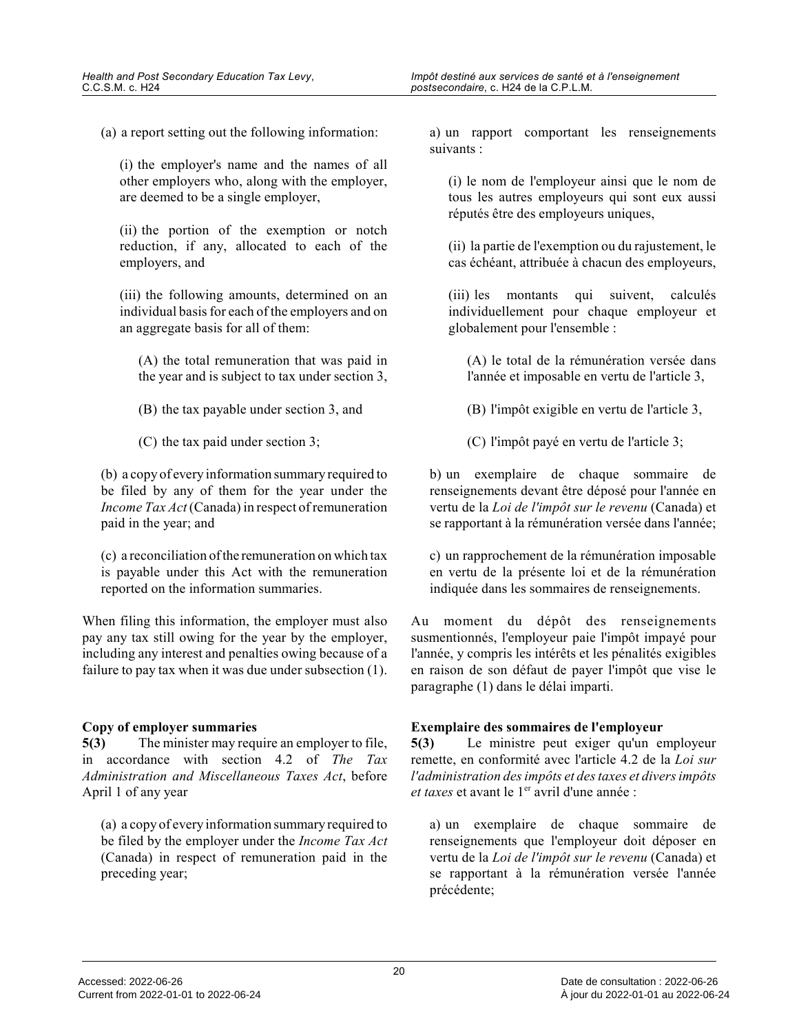(a) a report setting out the following information:

(i) the employer's name and the names of all other employers who, along with the employer, are deemed to be a single employer,

(ii) the portion of the exemption or notch reduction, if any, allocated to each of the employers, and

(iii) the following amounts, determined on an individual basis for each of the employers and on an aggregate basis for all of them:

(A) the total remuneration that was paid in the year and is subject to tax under section 3,

(B) the tax payable under section 3, and

(C) the tax paid under section 3;

(b) a copy of every information summary required to be filed by any of them for the year under the *Income Tax Act* (Canada) in respect of remuneration paid in the year; and

(c) a reconciliation of the remuneration on which tax is payable under this Act with the remuneration reported on the information summaries.

When filing this information, the employer must als o pay any tax still owing for the year by the employer, including any interest and penalties owing because of a failure to pay tax when it was due under subsection (1).

#### **Copy of employer summaries**

**5(3)** The minister may require an employer to file, in accordance with section 4.2 of *The Tax Administration and Miscellaneous Taxes Act*, before April 1 of any year

(a) a copy of every information summary required to be filed by the employer under the *Income Tax Act* (Canada) in respect of remuneration paid in the preceding year;

a) un rapport comportant les renseignements suivants :

(i) le nom de l'employeur ainsi que le nom de tous les autres employeurs qui sont eux aussi réputés être des employeurs uniques,

(ii) la partie de l'exemption ou du rajustement, le cas échéant, attribuée à chacun des employeurs,

(iii) les montants qui suivent, calculés individuellement pour chaque employeur et globalement pour l'ensemble :

(A) le total de la rémunération versée dans l'année et imposable en vertu de l'article 3,

(B) l'impôt exigible en vertu de l'article 3,

(C) l'impôt payé en vertu de l'article 3;

b) un exemplaire de chaque sommaire de renseignements devant être déposé pour l'année en vertu de la *Loi de l'impôt sur le revenu* (Canada) et se rapportant à la rémunération versée dans l'année;

c) un rapprochement de la rémunération imposable en vertu de la présente loi et de la rémunération indiquée dans les sommaires de renseignements.

Au moment du dépôt des renseignements susmentionnés, l'employeur paie l'impôt impayé pour l'année, y compris les intérêts et les pénalités exigibles en raison de son défaut de payer l'impôt que vise le paragraphe (1) dans le délai imparti.

### **Exemplaire des sommaires de l'employeur**

**5(3)** Le ministre peut exiger qu'un employeur remette, en conformité avec l'article 4.2 de la *Loi sur l'administration des impôts et des taxes et divers impôts et taxes* et avant le 1<sup>er</sup> avril d'une année :

a) un exemplaire de chaque sommaire de renseignements que l'employeur doit déposer en vertu de la *Loi de l'impôt sur le revenu* (Canada) et se rapportant à la rémunération versée l'année précédente;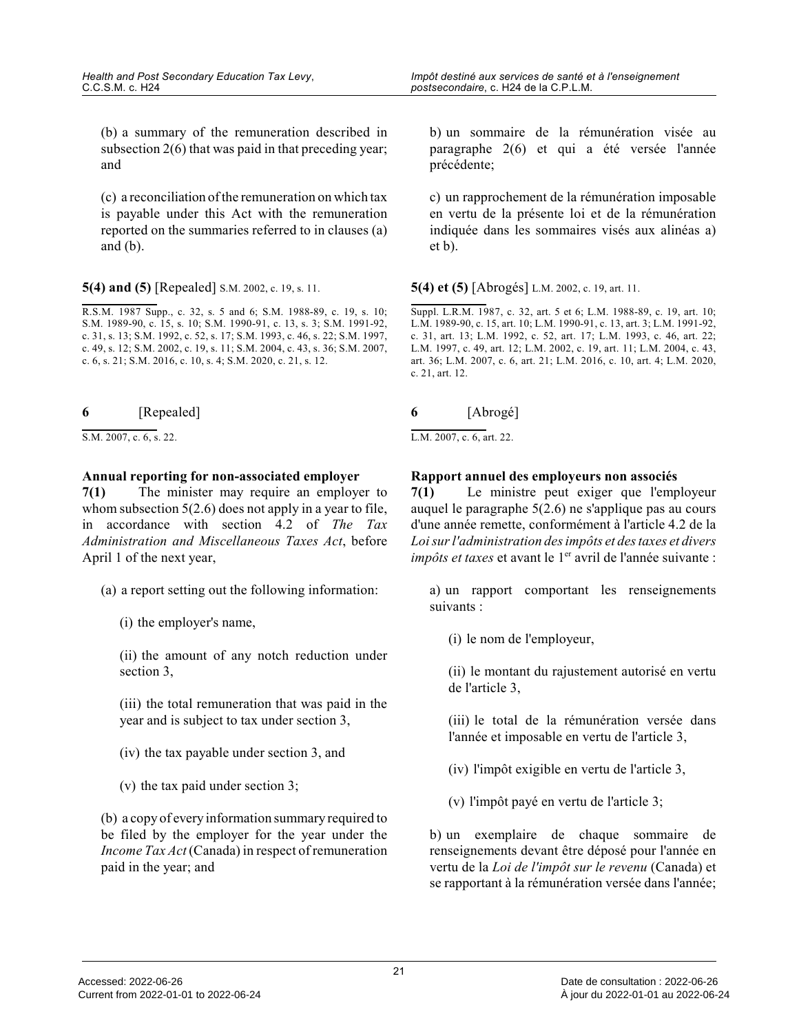(b) a summary of the remuneration described in subsection 2(6) that was paid in that preceding year; and

(c) a reconciliation of the remuneration on which tax is payable under this Act with the remuneration reported on the summaries referred to in clauses (a ) and  $(b)$ .

**5(4) and (5)** [Repealed] S.M. 2002, c. 19, s. 11.

R.S.M. 1987 Supp., c. 32, s. 5 and 6; S.M. 1988-89, c. 19, s. 10; S.M. 1989-90, c. 15, s. 10; S.M. 1990-91, c. 13, s. 3; S.M. 1991-92, c. 31, s. 13; S.M. 1992, c. 52, s. 17; S.M. 1993, c. 46, s. 22; S.M. 1997, c. 49, s. 12; S.M. 2002, c. 19, s. 11; S.M. 2004, c. 43, s. 36; S.M. 2007, c. 6, s. 21; S.M. 2016, c. 10, s. 4; S.M. 2020, c. 21, s. 12.

| 6 | [Repealed] |
|---|------------|
|   |            |

 $S.M. 2007, c. 6, s. 22.$ 

#### **Annual reporting for non-associated employer**

**7(1)** The minister may require an employer to whom subsection  $5(2.6)$  does not apply in a year to file, in accordance with section 4.2 of *The Tax Administration and Miscellaneous Taxes Act*, before April 1 of the next year,

- (a) a report setting out the following information:
	- (i) the employer's name,

(ii) the amount of any notch reduction under section 3,

(iii) the total remuneration that was paid in the year and is subject to tax under section 3,

(iv) the tax payable under section 3, and

(v) the tax paid under section 3;

(b) a copy of every information summary required to be filed by the employer for the year under the *Income Tax Act* (Canada) in respect of remuneration paid in the year; and

b) un sommaire de la rémunération visée au paragraphe 2(6) et qui a été versée l'année précédente;

c) un rapprochement de la rémunération imposable en vertu de la présente loi et de la rémunération indiquée dans les sommaires visés aux alinéas a) et b).

**5(4) et (5)** [Abrogés] L.M. 2002, c. 19, art. 11.

Suppl. L.R.M. 1987, c. 32, art. 5 et 6; L.M. 1988-89, c. 19, art. 10; L.M. 1989-90, c. 15, art. 10; L.M. 1990-91, c. 13, art. 3; L.M. 1991-92, c. 31, art. 13; L.M. 1992, c. 52, art. 17; L.M. 1993, c. 46, art. 22; L.M. 1997, c. 49, art. 12; L.M. 2002, c. 19, art. 11; L.M. 2004, c. 43, art. 36; L.M. 2007, c. 6, art. 21; L.M. 2016, c. 10, art. 4; L.M. 2020, c. 21, art. 12.

| 6 |          |
|---|----------|
|   | [Abrogé] |

L.M. 2007, c. 6, art. 22.

#### **Rapport annuel des employeurs non associés**

**7(1)** Le ministre peut exiger que l'employeur auquel le paragraphe 5(2.6) ne s'applique pas au cour s d'une année remette, conformément à l'article 4.2 de la *Loi sur l'administration des impôts et des taxes et divers impôts et taxes* et avant le 1<sup>er</sup> avril de l'année suivante :

a) un rapport comportant les renseignements suivants :

(i) le nom de l'employeur,

(ii) le montant du rajustement autorisé en vertu de l'article 3,

(iii) le total de la rémunération versée dans l'année et imposable en vertu de l'article 3,

(iv) l'impôt exigible en vertu de l'article 3,

(v) l'impôt payé en vertu de l'article 3;

b) un exemplaire de chaque sommaire de renseignements devant être déposé pour l'année en vertu de la *Loi de l'impôt sur le revenu* (Canada) et se rapportant à la rémunération versée dans l'année;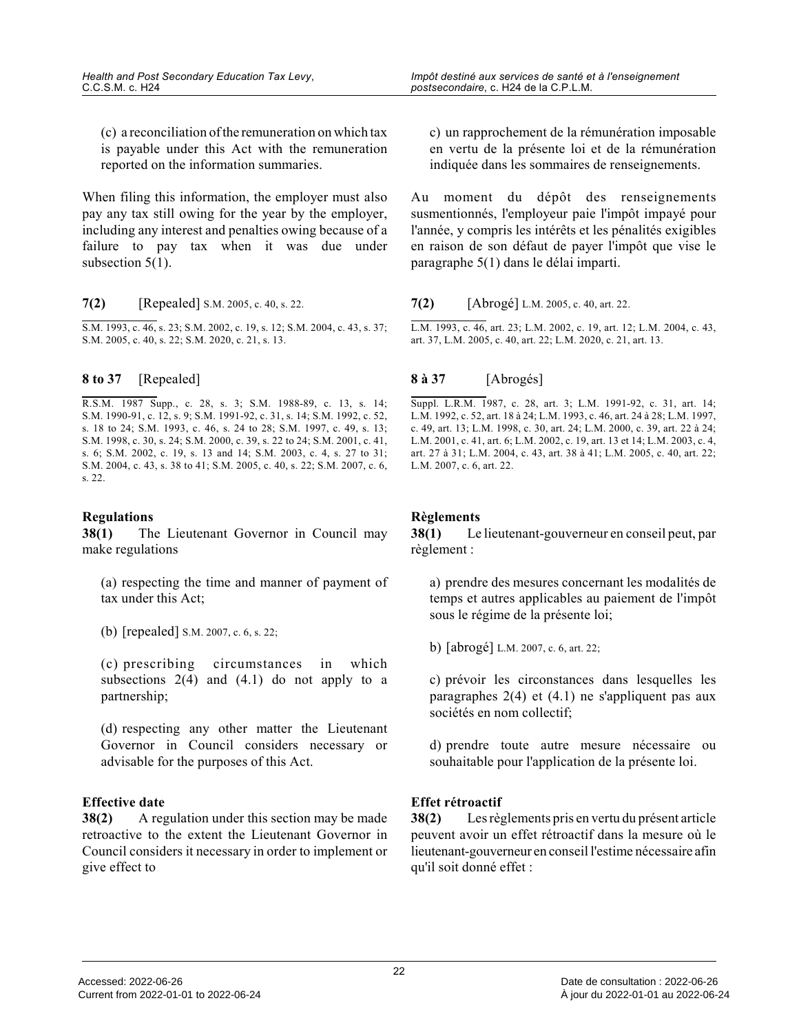(c) a reconciliation of the remuneration on which tax is payable under this Act with the remuneration reported on the information summaries.

When filing this information, the employer must als o pay any tax still owing for the year by the employer, including any interest and penalties owing because of a failure to pay tax when it was due under subsection 5(1).

**7(2)** [Repealed] S.M. 2005, c. 40, s. 22.

S.M. 1993, c. 46, s. 23; S.M. 2002, c. 19, s. 12; S.M. 2004, c. 43, s. 37; S.M. 2005, c. 40, s. 22; S.M. 2020, c. 21, s. 13.

#### **8 to 37** [Repealed]

R.S.M. 1987 Supp., c. 28, s. 3; S.M. 1988-89, c. 13, s. 14; S.M. 1990-91, c. 12, s. 9; S.M. 1991-92, c. 31, s. 14; S.M. 1992, c. 52, s. 18 to 24; S.M. 1993, c. 46, s. 24 to 28; S.M. 1997, c. 49, s. 13; S.M. 1998, c. 30, s. 24; S.M. 2000, c. 39, s. 22 to 24; S.M. 2001, c. 41, s. 6; S.M. 2002, c. 19, s. 13 and 14; S.M. 2003, c. 4, s. 27 to 31; S.M. 2004, c. 43, s. 38 to 41; S.M. 2005, c. 40, s. 22; S.M. 2007, c. 6, s. 22.

#### **Regulations**

**38(1)** The Lieutenant Governor in Council may make regulations

(a) respecting the time and manner of payment of tax under this Act;

(b) [repealed] S.M. 2007, c. 6, s. 22;

(c) prescribing circumstances in which subsections  $2(4)$  and  $(4.1)$  do not apply to a partnership;

(d) respecting any other matter the Lieutenant Governor in Council considers necessary or advisable for the purposes of this Act.

#### **Effective date**

**38(2)** A regulation under this section may be made retroactive to the extent the Lieutenant Governor in Council considers it necessary in order to implement or give effect to

c) un rapprochement de la rémunération imposable en vertu de la présente loi et de la rémunération indiquée dans les sommaires de renseignements.

Au moment du dépôt des renseignements susmentionnés, l'employeur paie l'impôt impayé pour l'année, y compris les intérêts et les pénalités exigibles en raison de son défaut de payer l'impôt que vise le paragraphe 5(1) dans le délai imparti.

#### **7(2)** [Abrogé] L.M. 2005, c. 40, art. 22.

L.M. 1993, c. 46, art. 23; L.M. 2002, c. 19, art. 12; L.M. 2004, c. 43, art. 37, L.M. 2005, c. 40, art. 22; L.M. 2020, c. 21, art. 13.

#### **8 à 37** [Abrogés]

Suppl. L.R.M. 1987, c. 28, art. 3; L.M. 1991-92, c. 31, art. 14; L.M. 1992, c. 52, art. 18 à 24; L.M. 1993, c. 46, art. 24 à 28; L.M. 1997, c. 49, art. 13; L.M. 1998, c. 30, art. 24; L.M. 2000, c. 39, art. 22 à 24; L.M. 2001, c. 41, art. 6; L.M. 2002, c. 19, art. 13 et 14; L.M. 2003, c. 4, art. 27 à 31; L.M. 2004, c. 43, art. 38 à 41; L.M. 2005, c. 40, art. 22; L.M. 2007, c. 6, art. 22.

#### **Règlements**

**38(1)** Le lieutenant-gouverneur en conseil peut, par règlement :

a) prendre des mesures concernant les modalités de temps et autres applicables au paiement de l'impôt sous le régime de la présente loi;

b) [abrogé] L.M. 2007, c. 6, art. 22;

c) prévoir les circonstances dans lesquelles les paragraphes 2(4) et (4.1) ne s'appliquent pas aux sociétés en nom collectif;

d) prendre toute autre mesure nécessaire ou souhaitable pour l'application de la présente loi.

#### **Effet rétroactif**

**38(2)** Les règlements pris en vertu du présent article peuvent avoir un effet rétroactif dans la mesure où l e lieutenant-gouverneur en conseil l'estime nécessaire afin qu'il soit donné effet :